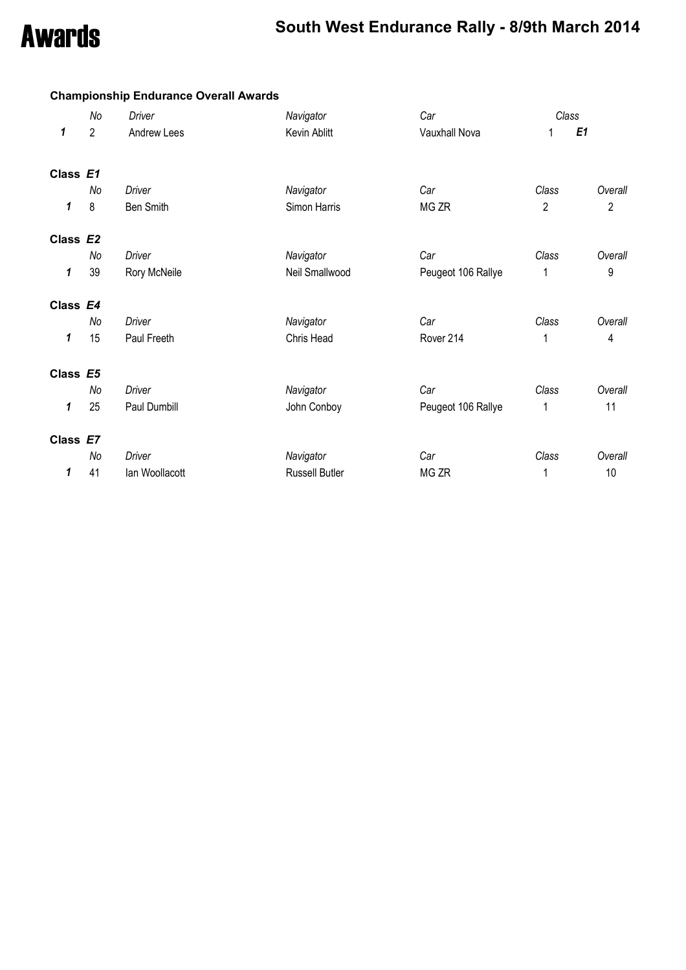**Championship Endurance Overall Awards**

### Awards **South West Endurance Rally - 8/9th March 2014**

|          | No             | Driver         | Navigator             | Car                | Class          |                |
|----------|----------------|----------------|-----------------------|--------------------|----------------|----------------|
| 1        | $\overline{2}$ | Andrew Lees    | Kevin Ablitt          | Vauxhall Nova      |                | E <sub>1</sub> |
| Class E1 |                |                |                       |                    |                |                |
|          | No             | Driver         | Navigator             | Car                | Class          | Overall        |
| 1        | 8              | Ben Smith      | Simon Harris          | MG ZR              | $\overline{2}$ | $\overline{2}$ |
| Class E2 |                |                |                       |                    |                |                |
|          | No             | Driver         | Navigator             | Car                | Class          | Overall        |
| 1        | 39             | Rory McNeile   | Neil Smallwood        | Peugeot 106 Rallye | 1              | 9              |
| Class E4 |                |                |                       |                    |                |                |
|          | No             | Driver         | Navigator             | Car                | Class          | Overall        |
| 1        | 15             | Paul Freeth    | Chris Head            | Rover 214          | 1              | 4              |
| Class E5 |                |                |                       |                    |                |                |
|          | No             | <b>Driver</b>  | Navigator             | Car                | Class          | Overall        |
| 1        | 25             | Paul Dumbill   | John Conboy           | Peugeot 106 Rallye | 1              | 11             |
| Class E7 |                |                |                       |                    |                |                |
|          | No             | Driver         | Navigator             | Car                | Class          | Overall        |
| 1        | 41             | Ian Woollacott | <b>Russell Butler</b> | MG ZR              | 1              | 10             |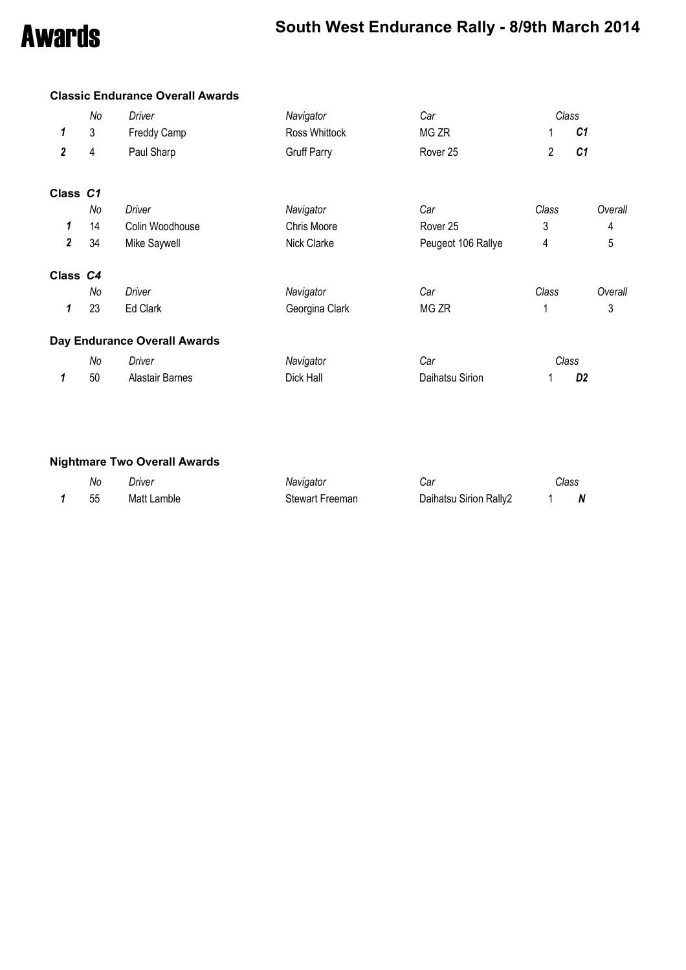### Awards **South West Endurance Rally - 8/9th March 2014**

|                         |    | <b>Classic Endurance Overall Awards</b> |                    |                     |                |                |
|-------------------------|----|-----------------------------------------|--------------------|---------------------|----------------|----------------|
|                         | No | Driver                                  | Navigator          | Car                 |                | Class          |
| 1                       | 3  | Freddy Camp                             | Ross Whittock      | MG ZR               |                | C1             |
| $\overline{\mathbf{2}}$ | 4  | Paul Sharp                              | <b>Gruff Parry</b> | Rover <sub>25</sub> | $\overline{2}$ | C <sub>1</sub> |
| Class C1                |    |                                         |                    |                     |                |                |
|                         | No | Driver                                  | Navigator          | Car                 | Class          | Overall        |
| 1                       | 14 | Colin Woodhouse                         | <b>Chris Moore</b> | Rover 25            | 3              | 4              |
| $\mathbf{2}$            | 34 | Mike Saywell                            | Nick Clarke        | Peugeot 106 Rallye  | 4              | 5              |
| Class C4                |    |                                         |                    |                     |                |                |
|                         | No | Driver                                  | Navigator          | Car                 | Class          | Overall        |
| 1                       | 23 | Ed Clark                                | Georgina Clark     | MG ZR               |                | 3              |
|                         |    | <b>Day Endurance Overall Awards</b>     |                    |                     |                |                |
|                         | No | Driver                                  | Navigator          | Car                 |                | Class          |
| 1                       | 50 | <b>Alastair Barnes</b>                  | Dick Hall          | Daihatsu Sirion     |                | D <sub>2</sub> |

### **Nightmare Two Overall Awards**

| No | Driver      | Navigator       | ا∂ت                    | Class |   |
|----|-------------|-----------------|------------------------|-------|---|
| 55 | Matt Lamble | Stewart Freeman | Daihatsu Sirion Rally2 |       | N |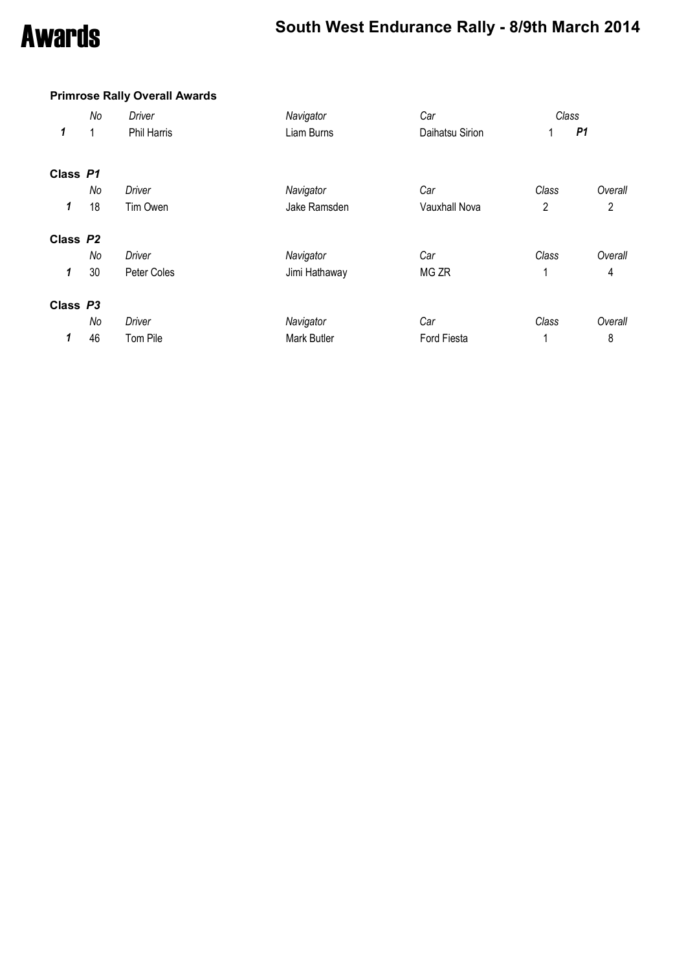### Awards **South West Endurance Rally - 8/9th March 2014**

### **Primrose Rally Overall Awards**

|          | No | <b>Driver</b>      | Navigator     | Car             | Class          |                |  |  |
|----------|----|--------------------|---------------|-----------------|----------------|----------------|--|--|
| 1        | 1  | <b>Phil Harris</b> | Liam Burns    | Daihatsu Sirion |                | P <sub>1</sub> |  |  |
| Class P1 |    |                    |               |                 |                |                |  |  |
|          | No | <b>Driver</b>      | Navigator     | Car             | Class          | Overall        |  |  |
| 1        | 18 | Tim Owen           | Jake Ramsden  | Vauxhall Nova   | $\overline{2}$ | $\overline{2}$ |  |  |
| Class P2 |    |                    |               |                 |                |                |  |  |
|          | No | Driver             | Navigator     | Car             | Class          | Overall        |  |  |
| 1        | 30 | Peter Coles        | Jimi Hathaway | MG ZR           |                | 4              |  |  |
| Class P3 |    |                    |               |                 |                |                |  |  |
|          | No | Driver             | Navigator     | Car             | Class          | Overall        |  |  |
| 1        | 46 | Tom Pile           | Mark Butler   | Ford Fiesta     |                | 8              |  |  |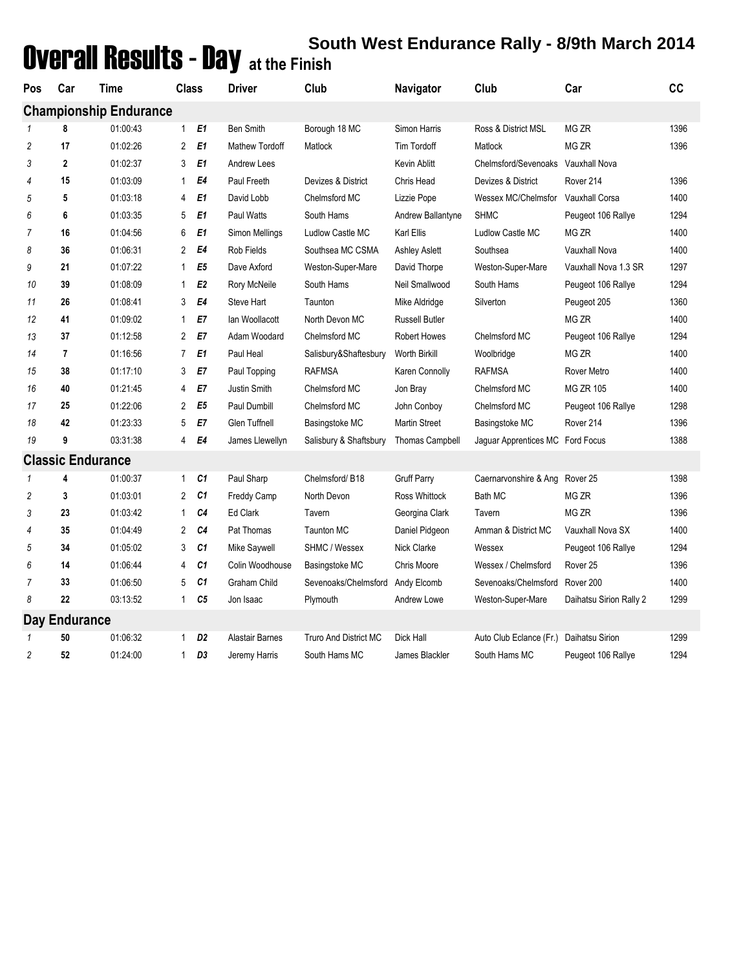## Overall Results - Day **South West Endurance Rally - 8/9th March 2014 at the Finish**

| Pos<br>Car<br>Time |                  | Class                         | Driver                         | Club<br>Navigator     |                              | Club                   | Car                            | cc                      |      |
|--------------------|------------------|-------------------------------|--------------------------------|-----------------------|------------------------------|------------------------|--------------------------------|-------------------------|------|
|                    |                  | <b>Championship Endurance</b> |                                |                       |                              |                        |                                |                         |      |
| 1                  | 8                | 01:00:43                      | E1<br>$\mathbf{1}$             | <b>Ben Smith</b>      | Borough 18 MC                | Simon Harris           | Ross & District MSL            | MG ZR                   | 1396 |
| $\overline{2}$     | 17               | 01:02:26                      | $\overline{2}$<br>E1           | <b>Mathew Tordoff</b> | Matlock                      | Tim Tordoff            | Matlock                        | MG ZR                   | 1396 |
| 3                  | $\boldsymbol{2}$ | 01:02:37                      | E1<br>3                        | Andrew Lees           |                              | <b>Kevin Ablitt</b>    | Chelmsford/Sevenoaks           | Vauxhall Nova           |      |
| 4                  | 15               | 01:03:09                      | E4<br>1                        | Paul Freeth           | Devizes & District           | Chris Head             | Devizes & District             | Rover 214               | 1396 |
| 5                  | 5                | 01:03:18                      | E1<br>4                        | David Lobb            | Chelmsford MC                | Lizzie Pope            | Wessex MC/Chelmsfor            | Vauxhall Corsa          | 1400 |
| 6                  | 6                | 01:03:35                      | E1<br>5                        | <b>Paul Watts</b>     | South Hams                   | Andrew Ballantyne      | <b>SHMC</b>                    | Peugeot 106 Rallye      | 1294 |
| $\overline{7}$     | 16               | 01:04:56                      | E1<br>6                        | Simon Mellings        | Ludlow Castle MC             | Karl Ellis             | Ludlow Castle MC               | MG ZR                   | 1400 |
| 8                  | 36               | 01:06:31                      | E4<br>2                        | Rob Fields            | Southsea MC CSMA             | <b>Ashley Aslett</b>   | Southsea                       | Vauxhall Nova           | 1400 |
| 9                  | 21               | 01:07:22                      | E <sub>5</sub><br>1            | Dave Axford           | Weston-Super-Mare            | David Thorpe           | Weston-Super-Mare              | Vauxhall Nova 1.3 SR    | 1297 |
| 10                 | 39               | 01:08:09                      | E <sub>2</sub><br>1            | Rory McNeile          | South Hams                   | Neil Smallwood         | South Hams                     | Peugeot 106 Rallye      | 1294 |
| 11                 | 26               | 01:08:41                      | 3<br>E4                        | <b>Steve Hart</b>     | Taunton                      | Mike Aldridge          | Silverton                      | Peugeot 205             | 1360 |
| 12                 | 41               | 01:09:02                      | E7<br>1                        | lan Woollacott        | North Devon MC               | <b>Russell Butler</b>  |                                | MG ZR                   | 1400 |
| 13                 | 37               | 01:12:58                      | 2<br>E7                        | Adam Woodard          | Chelmsford MC                | <b>Robert Howes</b>    | Chelmsford MC                  | Peugeot 106 Rallye      | 1294 |
| 14                 | 7                | 01:16:56                      | E <sub>1</sub><br>7            | Paul Heal             | Salisbury&Shaftesbury        | Worth Birkill          | Woolbridge                     | MG ZR                   | 1400 |
| 15                 | 38               | 01:17:10                      | E7<br>3                        | Paul Topping          | <b>RAFMSA</b>                | Karen Connolly         | <b>RAFMSA</b>                  | Rover Metro             | 1400 |
| 16                 | 40               | 01:21:45                      | E7<br>4                        | Justin Smith          | Chelmsford MC                | Jon Bray               | Chelmsford MC                  | <b>MG ZR 105</b>        | 1400 |
| 17                 | 25               | 01:22:06                      | E <sub>5</sub><br>2            | Paul Dumbill          | Chelmsford MC                | John Conboy            | Chelmsford MC                  | Peugeot 106 Rallye      | 1298 |
| 18                 | 42               | 01:23:33                      | 5<br>E7                        | <b>Glen Tuffnell</b>  | Basingstoke MC               | <b>Martin Street</b>   | Basingstoke MC                 | Rover 214               | 1396 |
| 19                 | 9                | 03:31:38                      | E4<br>4                        | James Llewellyn       | Salisbury & Shaftsbury       | <b>Thomas Campbell</b> | Jaguar Apprentices MC          | <b>Ford Focus</b>       | 1388 |
|                    |                  | <b>Classic Endurance</b>      |                                |                       |                              |                        |                                |                         |      |
| 1                  | 4                | 01:00:37                      | C1<br>$\mathbf{1}$             | Paul Sharp            | Chelmsford/B18               | <b>Gruff Parry</b>     | Caernarvonshire & Ang Rover 25 |                         | 1398 |
| $\overline{2}$     | 3                | 01:03:01                      | C1<br>2                        | Freddy Camp           | North Devon                  | Ross Whittock          | Bath MC                        | MG ZR                   | 1396 |
| 3                  | 23               | 01:03:42                      | C4<br>$\mathbf{1}$             | Ed Clark              | Tavern                       | Georgina Clark         | Tavern                         | MG ZR                   | 1396 |
| 4                  | 35               | 01:04:49                      | C4<br>$\overline{2}$           | Pat Thomas            | <b>Taunton MC</b>            | Daniel Pidgeon         | Amman & District MC            | Vauxhall Nova SX        | 1400 |
| 5                  | 34               | 01:05:02                      | 3<br>C1                        | Mike Saywell          | SHMC / Wessex                | Nick Clarke            | Wessex                         | Peugeot 106 Rallye      | 1294 |
| 6                  | 14               | 01:06:44                      | C1<br>4                        | Colin Woodhouse       | Basingstoke MC               | Chris Moore            | Wessex / Chelmsford            | Rover <sub>25</sub>     | 1396 |
| $\overline{7}$     | 33               | 01:06:50                      | C1<br>5                        | <b>Graham Child</b>   | Sevenoaks/Chelmsford         | Andy Elcomb            | Sevenoaks/Chelmsford           | Rover 200               | 1400 |
| 8                  | 22               | 03:13:52                      | C <sub>5</sub><br>$\mathbf{1}$ | Jon Isaac             | Plymouth                     | Andrew Lowe            | Weston-Super-Mare              | Daihatsu Sirion Rally 2 | 1299 |
|                    | Day Endurance    |                               |                                |                       |                              |                        |                                |                         |      |
| 1                  | 50               | 01:06:32                      | D <sub>2</sub><br>$\mathbf{1}$ | Alastair Barnes       | <b>Truro And District MC</b> | Dick Hall              | Auto Club Eclance (Fr.)        | Daihatsu Sirion         | 1299 |
| 2                  | 52               | 01:24:00                      | D3<br>$\mathbf{1}$             | Jeremy Harris         | South Hams MC                | James Blackler         | South Hams MC                  | Peugeot 106 Rallye      | 1294 |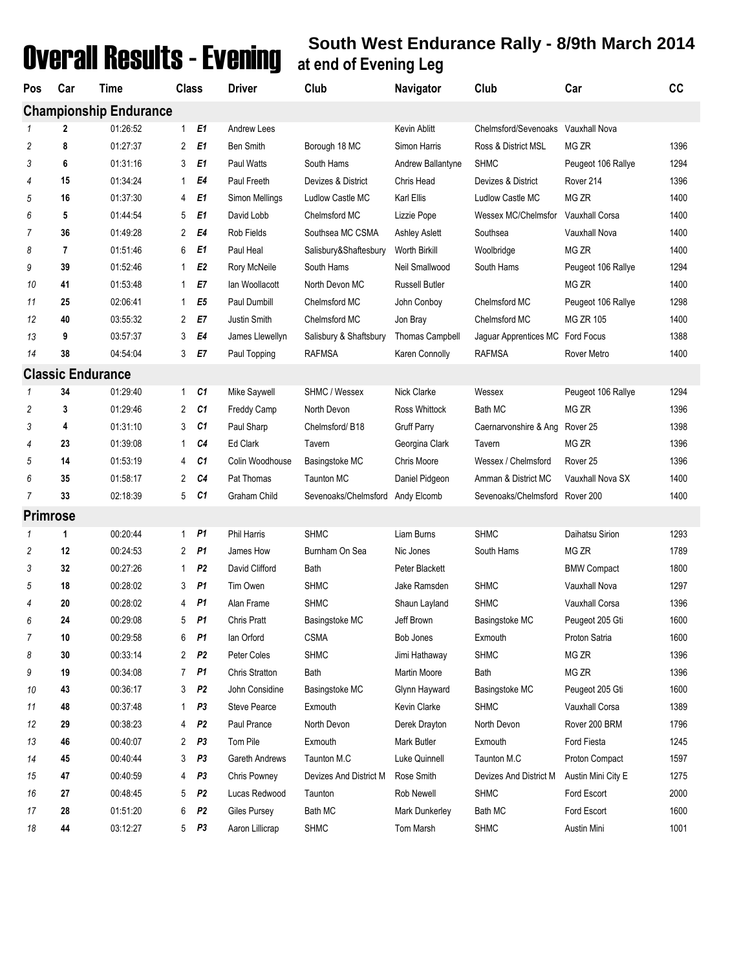# Overall Results - Evening **South West Endurance Rally - 8/9th March 2014 at end of Evening Leg**

| Pos             | Car | Time                          | <b>Class</b>                     | <b>Driver</b>      | Club                             | Navigator              | Club                               | Car                 | cc   |
|-----------------|-----|-------------------------------|----------------------------------|--------------------|----------------------------------|------------------------|------------------------------------|---------------------|------|
|                 |     | <b>Championship Endurance</b> |                                  |                    |                                  |                        |                                    |                     |      |
|                 | 2   | 01:26:52                      | $\mathbf{1}$<br>E <sub>1</sub>   | Andrew Lees        |                                  | Kevin Ablitt           | Chelmsford/Sevenoaks Vauxhall Nova |                     |      |
| 2               | 8   | 01:27:37                      | 2<br>E1                          | <b>Ben Smith</b>   | Borough 18 MC                    | Simon Harris           | Ross & District MSL                | MG ZR               | 1396 |
| 3               | 6   | 01:31:16                      | E <sub>1</sub><br>3              | <b>Paul Watts</b>  | South Hams                       | Andrew Ballantyne      | <b>SHMC</b>                        | Peugeot 106 Rallye  | 1294 |
| 4               | 15  | 01:34:24                      | E4<br>1                          | Paul Freeth        | Devizes & District               | Chris Head             | Devizes & District                 | Rover 214           | 1396 |
| 5               | 16  | 01:37:30                      | E1<br>4                          | Simon Mellings     | Ludlow Castle MC                 | Karl Ellis             | Ludlow Castle MC                   | MG ZR               | 1400 |
| 6               | 5   | 01:44:54                      | E1<br>5                          | David Lobb         | Chelmsford MC                    | Lizzie Pope            | Wessex MC/Chelmsfor                | Vauxhall Corsa      | 1400 |
| 7               | 36  | 01:49:28                      | 2<br>E4                          | Rob Fields         | Southsea MC CSMA                 | <b>Ashley Aslett</b>   | Southsea                           | Vauxhall Nova       | 1400 |
| 8               | 7   | 01:51:46                      | 6<br>E <sub>1</sub>              | Paul Heal          | Salisbury&Shaftesbury            | Worth Birkill          | Woolbridge                         | MG ZR               | 1400 |
| 9               | 39  | 01:52:46                      | E <sub>2</sub><br>$\mathbf{1}$   | Rory McNeile       | South Hams                       | Neil Smallwood         | South Hams                         | Peugeot 106 Rallye  | 1294 |
| 10              | 41  | 01:53:48                      | E7<br>$\mathbf{1}$               | lan Woollacott     | North Devon MC                   | <b>Russell Butler</b>  |                                    | MG ZR               | 1400 |
| 11              | 25  | 02:06:41                      | E <sub>5</sub><br>$\mathbf{1}$   | Paul Dumbill       | Chelmsford MC                    | John Conboy            | Chelmsford MC                      | Peugeot 106 Rallye  | 1298 |
| 12              | 40  | 03:55:32                      | E7<br>$\overline{2}$             | Justin Smith       | Chelmsford MC                    | Jon Bray               | Chelmsford MC                      | <b>MG ZR 105</b>    | 1400 |
| 13              | 9   | 03:57:37                      | E4<br>3                          | James Llewellyn    | Salisbury & Shaftsbury           | <b>Thomas Campbell</b> | Jaguar Apprentices MC Ford Focus   |                     | 1388 |
| 14              | 38  | 04:54:04                      | 3<br>E7                          | Paul Topping       | <b>RAFMSA</b>                    | Karen Connolly         | <b>RAFMSA</b>                      | Rover Metro         | 1400 |
|                 |     | <b>Classic Endurance</b>      |                                  |                    |                                  |                        |                                    |                     |      |
|                 | 34  | 01:29:40                      | C1<br>$\mathbf{1}$               | Mike Saywell       | SHMC / Wessex                    | Nick Clarke            | Wessex                             | Peugeot 106 Rallye  | 1294 |
| 2               | 3   | 01:29:46                      | 2<br>C1                          | <b>Freddy Camp</b> | North Devon                      | Ross Whittock          | Bath MC                            | MG ZR               | 1396 |
| 3               | 4   | 01:31:10                      | C1<br>3                          | Paul Sharp         | Chelmsford/B18                   | <b>Gruff Parry</b>     | Caernarvonshire & Ang              | Rover <sub>25</sub> | 1398 |
| 4               | 23  | 01:39:08                      | C4<br>1                          | Ed Clark           | Tavern                           | Georgina Clark         | Tavern                             | MG ZR               | 1396 |
| 5               | 14  | 01:53:19                      | C1<br>4                          | Colin Woodhouse    | Basingstoke MC                   | Chris Moore            | Wessex / Chelmsford                | Rover <sub>25</sub> | 1396 |
| 6               | 35  | 01:58:17                      | C <sub>4</sub><br>2              | Pat Thomas         | <b>Taunton MC</b>                | Daniel Pidgeon         | Amman & District MC                | Vauxhall Nova SX    | 1400 |
| 7               | 33  | 02:18:39                      | 5<br>C1                          | Graham Child       | Sevenoaks/Chelmsford Andy Elcomb |                        | Sevenoaks/Chelmsford Rover 200     |                     | 1400 |
| <b>Primrose</b> |     |                               |                                  |                    |                                  |                        |                                    |                     |      |
| 1               | 1   | 00:20:44                      | <b>P1</b><br>1                   | Phil Harris        | <b>SHMC</b>                      | Liam Burns             | <b>SHMC</b>                        | Daihatsu Sirion     | 1293 |
| 2               | 12  | 00:24:53                      | 2<br>P1                          | James How          | Burnham On Sea                   | Nic Jones              | South Hams                         | MG ZR               | 1789 |
| 3               | 32  | 00:27:26                      | P <sub>2</sub><br>1              | David Clifford     | Bath                             | Peter Blackett         |                                    | <b>BMW Compact</b>  | 1800 |
| 5               | 18  | 00:28:02                      | 3<br>P1                          | Tim Owen           | <b>SHMC</b>                      | Jake Ramsden           | <b>SHMC</b>                        | Vauxhall Nova       | 1297 |
| 4               | 20  | 00:28:02                      | <b>P1</b><br>4                   | Alan Frame         | <b>SHMC</b>                      | Shaun Layland          | <b>SHMC</b>                        | Vauxhall Corsa      | 1396 |
| 6               | 24  | 00:29:08                      | P1<br>5                          | <b>Chris Pratt</b> | Basingstoke MC                   | Jeff Brown             | Basingstoke MC                     | Peugeot 205 Gti     | 1600 |
| 7               | 10  | 00:29:58                      | 6<br>P1                          | lan Orford         | <b>CSMA</b>                      | Bob Jones              | Exmouth                            | Proton Satria       | 1600 |
| 8               | 30  | 00:33:14                      | P <sub>2</sub><br>$\overline{2}$ | Peter Coles        | <b>SHMC</b>                      | Jimi Hathaway          | <b>SHMC</b>                        | MG ZR               | 1396 |
| 9               | 19  | 00:34:08                      | P1<br>$\overline{7}$             | Chris Stratton     | Bath                             | Martin Moore           | Bath                               | MG ZR               | 1396 |
| 10              | 43  | 00:36:17                      | P <sub>2</sub><br>3              | John Considine     | Basingstoke MC                   | Glynn Hayward          | Basingstoke MC                     | Peugeot 205 Gti     | 1600 |
| 11              | 48  | 00:37:48                      | P <sub>3</sub><br>1.             | Steve Pearce       | Exmouth                          | Kevin Clarke           | <b>SHMC</b>                        | Vauxhall Corsa      | 1389 |
| 12              | 29  | 00:38:23                      | P <sub>2</sub><br>4              | Paul Prance        | North Devon                      | Derek Drayton          | North Devon                        | Rover 200 BRM       | 1796 |
| 13              | 46  | 00:40:07                      | $\overline{2}$<br>P <sub>3</sub> | Tom Pile           | Exmouth                          | Mark Butler            | Exmouth                            | Ford Fiesta         | 1245 |
| 14              | 45  | 00:40:44                      | P <sub>3</sub><br>3              | Gareth Andrews     | Taunton M.C                      | Luke Quinnell          | Taunton M.C                        | Proton Compact      | 1597 |
| 15              | 47  | 00:40:59                      | P <sub>3</sub><br>4              | Chris Powney       | Devizes And District M           | Rose Smith             | Devizes And District M             | Austin Mini City E  | 1275 |
| 16              | 27  | 00:48:45                      | P <sub>2</sub><br>5              | Lucas Redwood      | Taunton                          | Rob Newell             | <b>SHMC</b>                        | Ford Escort         | 2000 |
| 17              | 28  | 01:51:20                      | P <sub>2</sub><br>6              | Giles Pursey       | Bath MC                          | Mark Dunkerley         | Bath MC                            | Ford Escort         | 1600 |
| 18              | 44  | 03:12:27                      | P <sub>3</sub><br>5              | Aaron Lillicrap    | <b>SHMC</b>                      | Tom Marsh              | <b>SHMC</b>                        | Austin Mini         | 1001 |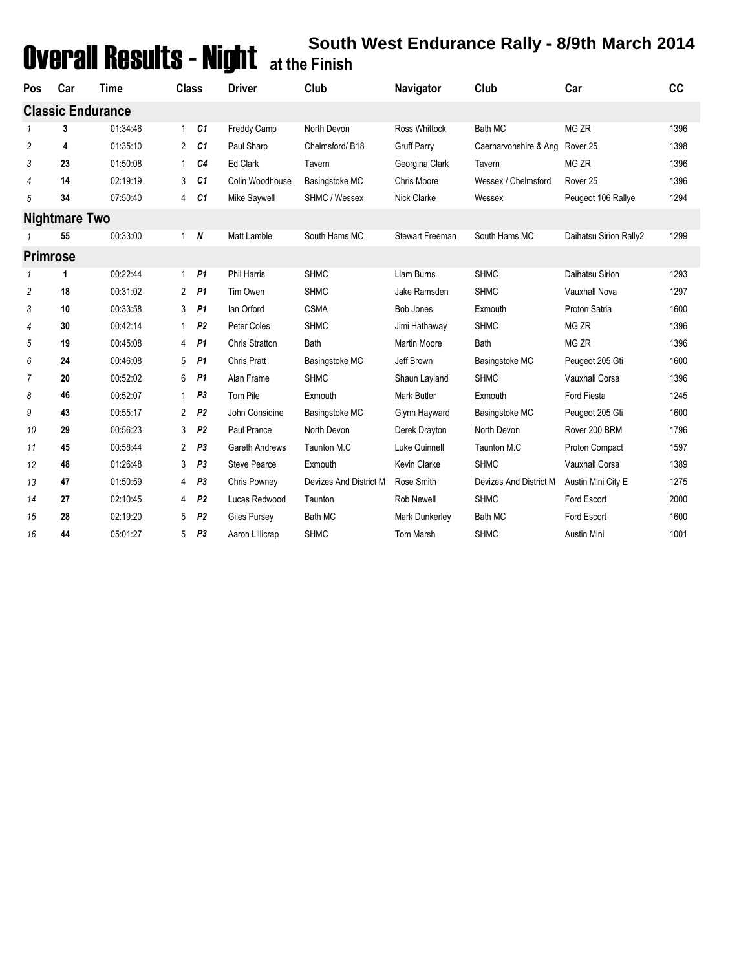## Overall Results - Night **South West Endurance Rally - 8/9th March 2014 at the Finish**

| Pos             | Car           | Time                     | <b>Class</b>   |                | <b>Driver</b>         | Club                   | Navigator           | Club                   | Car                    | cc   |
|-----------------|---------------|--------------------------|----------------|----------------|-----------------------|------------------------|---------------------|------------------------|------------------------|------|
|                 |               | <b>Classic Endurance</b> |                |                |                       |                        |                     |                        |                        |      |
| 1               | 3             | 01:34:46                 | $\mathbf{1}$   | C1             | <b>Freddy Camp</b>    | North Devon            | Ross Whittock       | Bath MC                | MG ZR                  | 1396 |
| 2               | 4             | 01:35:10                 | 2              | C1             | Paul Sharp            | Chelmsford/B18         | <b>Gruff Parry</b>  | Caernarvonshire & Ang  | Rover <sub>25</sub>    | 1398 |
| 3               | 23            | 01:50:08                 | 1              | C4             | Ed Clark              | Tavern                 | Georgina Clark      | Tavern                 | MG ZR                  | 1396 |
| 4               | 14            | 02:19:19                 | 3              | C1             | Colin Woodhouse       | Basingstoke MC         | Chris Moore         | Wessex / Chelmsford    | Rover <sub>25</sub>    | 1396 |
| 5               | 34            | 07:50:40                 | 4              | C1             | Mike Saywell          | SHMC / Wessex          | Nick Clarke         | Wessex                 | Peugeot 106 Rallye     | 1294 |
|                 | Nightmare Two |                          |                |                |                       |                        |                     |                        |                        |      |
|                 | 55            | 00:33:00                 |                | 1 N            | Matt Lamble           | South Hams MC          | Stewart Freeman     | South Hams MC          | Daihatsu Sirion Rally2 | 1299 |
| <b>Primrose</b> |               |                          |                |                |                       |                        |                     |                        |                        |      |
| 1               | 1             | 00:22:44                 | $\mathbf{1}$   | P <sub>1</sub> | <b>Phil Harris</b>    | <b>SHMC</b>            | Liam Burns          | <b>SHMC</b>            | Daihatsu Sirion        | 1293 |
| 2               | 18            | 00:31:02                 | $\overline{2}$ | <b>P1</b>      | Tim Owen              | <b>SHMC</b>            | Jake Ramsden        | <b>SHMC</b>            | Vauxhall Nova          | 1297 |
| 3               | 10            | 00:33:58                 | 3              | P1             | lan Orford            | <b>CSMA</b>            | <b>Bob Jones</b>    | Exmouth                | Proton Satria          | 1600 |
| 4               | 30            | 00:42:14                 | 1              | P <sub>2</sub> | Peter Coles           | <b>SHMC</b>            | Jimi Hathaway       | <b>SHMC</b>            | MG ZR                  | 1396 |
| 5               | 19            | 00:45:08                 | 4              | <b>P1</b>      | <b>Chris Stratton</b> | <b>Bath</b>            | <b>Martin Moore</b> | Bath                   | MG <sub>ZR</sub>       | 1396 |
| 6               | 24            | 00:46:08                 | 5              | P <sub>1</sub> | Chris Pratt           | Basingstoke MC         | Jeff Brown          | Basingstoke MC         | Peugeot 205 Gti        | 1600 |
| 7               | 20            | 00:52:02                 | 6              | P1             | Alan Frame            | <b>SHMC</b>            | Shaun Layland       | <b>SHMC</b>            | <b>Vauxhall Corsa</b>  | 1396 |
| 8               | 46            | 00:52:07                 | $\mathbf{1}$   | P <sub>3</sub> | Tom Pile              | Exmouth                | <b>Mark Butler</b>  | Exmouth                | Ford Fiesta            | 1245 |
| 9               | 43            | 00:55:17                 | $\overline{2}$ | P <sub>2</sub> | John Considine        | Basingstoke MC         | Glynn Hayward       | Basingstoke MC         | Peugeot 205 Gti        | 1600 |
| 10              | 29            | 00:56:23                 | 3              | P <sub>2</sub> | Paul Prance           | North Devon            | Derek Drayton       | North Devon            | Rover 200 BRM          | 1796 |
| 11              | 45            | 00:58:44                 | $\overline{2}$ | P <sub>3</sub> | Gareth Andrews        | Taunton M.C            | Luke Quinnell       | Taunton M.C            | Proton Compact         | 1597 |
| 12              | 48            | 01:26:48                 | 3              | P <sub>3</sub> | <b>Steve Pearce</b>   | Exmouth                | Kevin Clarke        | <b>SHMC</b>            | <b>Vauxhall Corsa</b>  | 1389 |
| 13              | 47            | 01:50:59                 | 4              | P <sub>3</sub> | Chris Powney          | Devizes And District M | Rose Smith          | Devizes And District M | Austin Mini City E     | 1275 |
| 14              | 27            | 02:10:45                 | 4              | P <sub>2</sub> | Lucas Redwood         | Taunton                | <b>Rob Newell</b>   | <b>SHMC</b>            | Ford Escort            | 2000 |
| 15              | 28            | 02:19:20                 | 5              | P <sub>2</sub> | Giles Pursey          | <b>Bath MC</b>         | Mark Dunkerley      | <b>Bath MC</b>         | Ford Escort            | 1600 |
| 16              | 44            | 05:01:27                 | 5              | P <sub>3</sub> | Aaron Lillicrap       | <b>SHMC</b>            | Tom Marsh           | <b>SHMC</b>            | Austin Mini            | 1001 |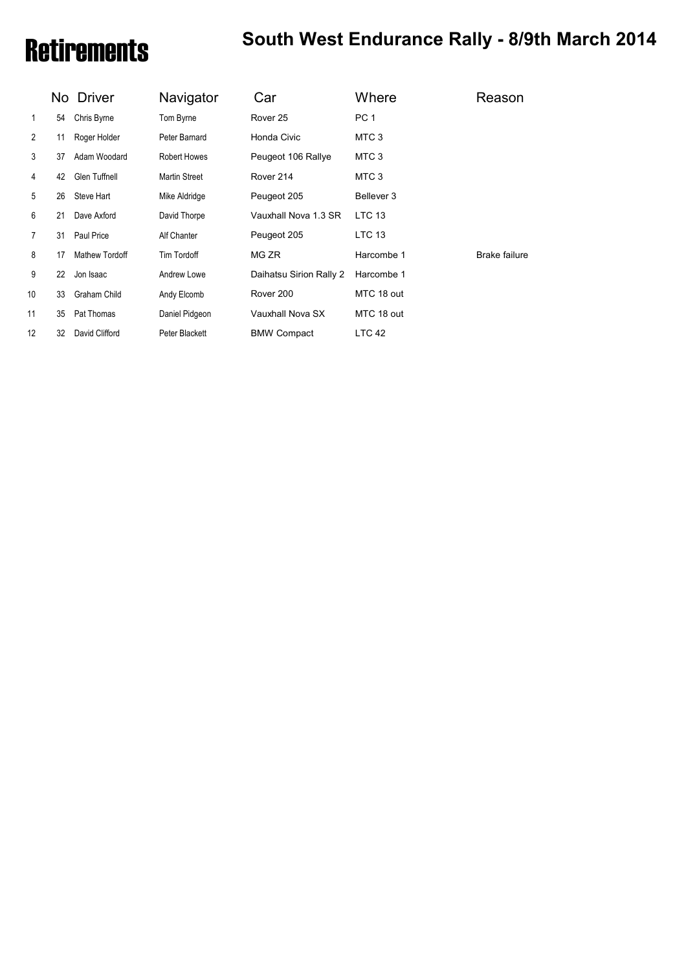# Retirements **South West Endurance Rally - 8/9th March 2014**

|                |    | No Driver           | Navigator            | Car                     | Where             | Reason        |
|----------------|----|---------------------|----------------------|-------------------------|-------------------|---------------|
| 1              | 54 | Chris Byrne         | Tom Byrne            | Rover 25                | PC <sub>1</sub>   |               |
| $\overline{2}$ | 11 | Roger Holder        | Peter Barnard        | Honda Civic             | MTC <sub>3</sub>  |               |
| 3              | 37 | Adam Woodard        | <b>Robert Howes</b>  | Peugeot 106 Rallye      | MTC 3             |               |
| 4              | 42 | Glen Tuffnell       | <b>Martin Street</b> | Rover 214               | MTC 3             |               |
| 5              | 26 | Steve Hart          | Mike Aldridge        | Peugeot 205             | Bellever 3        |               |
| 6              | 21 | Dave Axford         | David Thorpe         | Vauxhall Nova 1.3 SR    | <b>LTC 13</b>     |               |
| 7              | 31 | Paul Price          | Alf Chanter          | Peugeot 205             | LTC 13            |               |
| 8              | 17 | Mathew Tordoff      | Tim Tordoff          | MG ZR                   | Harcombe 1        | Brake failure |
| 9              | 22 | Jon Isaac           | Andrew Lowe          | Daihatsu Sirion Rally 2 | Harcombe 1        |               |
| 10             | 33 | <b>Graham Child</b> | Andy Elcomb          | Rover 200               | MTC 18 out        |               |
| 11             | 35 | Pat Thomas          | Daniel Pidgeon       | Vauxhall Nova SX        | MTC 18 out        |               |
| 12             | 32 | David Clifford      | Peter Blackett       | <b>BMW Compact</b>      | LTC <sub>42</sub> |               |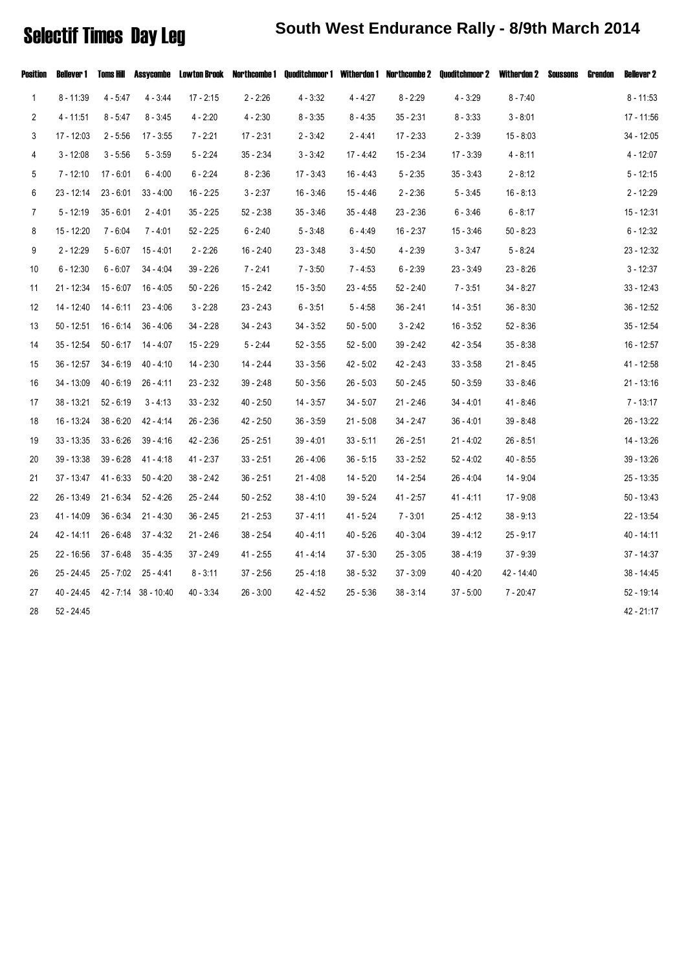### Selectif Times Day Leg **South West Endurance Rally - 8/9th March 2014**

| Position       | Bellever 1   | Toms Hill   |                                 |             |             | Assycombe Lowton Brook Northcombe 1 Quoditchmoor 1 Witherdon 1 Northcombe 2 |             |             | Quoditchmoor 2 Witherdon 2 |             | Soussons | Grendon | <b>Bellever 2</b> |
|----------------|--------------|-------------|---------------------------------|-------------|-------------|-----------------------------------------------------------------------------|-------------|-------------|----------------------------|-------------|----------|---------|-------------------|
| $\mathbf{1}$   | $8 - 11:39$  | $4 - 5:47$  | $4 - 3:44$                      | 17 - 2:15   | $2 - 2:26$  | $4 - 3:32$                                                                  | $4 - 4:27$  | $8 - 2:29$  | $4 - 3:29$                 | $8 - 7:40$  |          |         | $8 - 11:53$       |
| 2              | $4 - 11:51$  | $8 - 5:47$  | $8 - 3:45$                      | $4 - 2:20$  | $4 - 2:30$  | $8 - 3:35$                                                                  | $8 - 4:35$  | $35 - 2:31$ | $8 - 3:33$                 | $3 - 8:01$  |          |         | 17 - 11:56        |
| 3              | 17 - 12:03   | $2 - 5:56$  | 17 - 3:55                       | $7 - 2:21$  | $17 - 2:31$ | $2 - 3:42$                                                                  | $2 - 4:41$  | $17 - 2:33$ | $2 - 3:39$                 | $15 - 8:03$ |          |         | 34 - 12:05        |
| 4              | $3 - 12:08$  | $3 - 5:56$  | $5 - 3:59$                      | $5 - 2:24$  | $35 - 2:34$ | $3 - 3:42$                                                                  | 17 - 4:42   | $15 - 2:34$ | $17 - 3:39$                | $4 - 8:11$  |          |         | $4 - 12:07$       |
| 5              | $7 - 12:10$  | 17 - 6:01   | $6 - 4:00$                      | $6 - 2:24$  | $8 - 2:36$  | $17 - 3:43$                                                                 | 16 - 4:43   | $5 - 2:35$  | 35 - 3:43                  | $2 - 8:12$  |          |         | $5 - 12:15$       |
| 6              | $23 - 12:14$ | $23 - 6:01$ | $33 - 4:00$                     | $16 - 2:25$ | $3 - 2:37$  | $16 - 3.46$                                                                 | $15 - 4:46$ | $2 - 2:36$  | $5 - 3.45$                 | $16 - 8:13$ |          |         | $2 - 12:29$       |
| $\overline{7}$ | $5 - 12:19$  | $35 - 6:01$ | $2 - 4:01$                      | $35 - 2:25$ | $52 - 2:38$ | $35 - 3.46$                                                                 | $35 - 4:48$ | $23 - 2:36$ | $6 - 3:46$                 | $6 - 8:17$  |          |         | 15 - 12:31        |
| 8              | 15 - 12:20   | 7 - 6:04    | $7 - 4.01$                      | $52 - 2:25$ | $6 - 2:40$  | $5 - 3:48$                                                                  | $6 - 4:49$  | $16 - 2:37$ | $15 - 3:46$                | $50 - 8:23$ |          |         | $6 - 12:32$       |
| 9              | $2 - 12:29$  | $5 - 6:07$  | $15 - 4:01$                     | $2 - 2:26$  | $16 - 2:40$ | $23 - 3.48$                                                                 | $3 - 4:50$  | $4 - 2:39$  | $3 - 3:47$                 | $5 - 8:24$  |          |         | $23 - 12:32$      |
| 10             | $6 - 12:30$  | $6 - 6:07$  | $34 - 4:04$                     | $39 - 2:26$ | $7 - 2:41$  | $7 - 3:50$                                                                  | $7 - 4:53$  | $6 - 2:39$  | $23 - 3:49$                | $23 - 8:26$ |          |         | $3 - 12:37$       |
| 11             | $21 - 12:34$ | $15 - 6:07$ | $16 - 4:05$                     | $50 - 2.26$ | 15 - 2:42   | $15 - 3:50$                                                                 | $23 - 4:55$ | 52 - 2:40   | $7 - 3:51$                 | $34 - 8:27$ |          |         | $33 - 12:43$      |
| 12             | $14 - 12:40$ | 14 - 6:11   | $23 - 4:06$                     | $3 - 2:28$  | $23 - 2:43$ | $6 - 3.51$                                                                  | $5 - 4:58$  | $36 - 2:41$ | $14 - 3:51$                | $36 - 8:30$ |          |         | $36 - 12:52$      |
| 13             | $50 - 12:51$ | $16 - 6:14$ | $36 - 4:06$                     | $34 - 2:28$ | $34 - 2:43$ | $34 - 3:52$                                                                 | $50 - 5:00$ | $3 - 2:42$  | $16 - 3:52$                | $52 - 8:36$ |          |         | $35 - 12:54$      |
| 14             | $35 - 12:54$ | $50 - 6:17$ | 14 - 4:07                       | $15 - 2:29$ | $5 - 2:44$  | $52 - 3:55$                                                                 | $52 - 5:00$ | $39 - 2:42$ | 42 - 3:54                  | $35 - 8:38$ |          |         | $16 - 12:57$      |
| 15             | $36 - 12:57$ | $34 - 6:19$ | $40 - 4:10$                     | 14 - 2:30   | 14 - 2:44   | $33 - 3:56$                                                                 | 42 - 5:02   | 42 - 2:43   | $33 - 3:58$                | $21 - 8:45$ |          |         | 41 - 12:58        |
| 16             | 34 - 13:09   | $40 - 6:19$ | $26 - 4:11$                     | $23 - 2:32$ | $39 - 2:48$ | $50 - 3:56$                                                                 | $26 - 5:03$ | $50 - 2:45$ | $50 - 3:59$                | $33 - 8:46$ |          |         | $21 - 13:16$      |
| 17             | $38 - 13:21$ | $52 - 6:19$ | $3 - 4:13$                      | $33 - 2:32$ | $40 - 2:50$ | $14 - 3:57$                                                                 | $34 - 5.07$ | $21 - 2.46$ | $34 - 4.01$                | $41 - 8:46$ |          |         | 7 - 13:17         |
| 18             | 16 - 13:24   | $38 - 6:20$ | $42 - 4:14$                     | $26 - 2:36$ | 42 - 2:50   | $36 - 3:59$                                                                 | $21 - 5:08$ | $34 - 2:47$ | $36 - 4:01$                | $39 - 8:48$ |          |         | 26 - 13:22        |
| 19             | $33 - 13:35$ | $33 - 6:26$ | $39 - 4:16$                     | 42 - 2:36   | $25 - 2:51$ | $39 - 4.01$                                                                 | $33 - 5:11$ | $26 - 2:51$ | $21 - 4:02$                | $26 - 8:51$ |          |         | 14 - 13:26        |
| 20             | 39 - 13:38   | $39 - 6:28$ | $41 - 4:18$                     | $41 - 2.37$ | $33 - 2:51$ | $26 - 4:06$                                                                 | $36 - 5:15$ | $33 - 2:52$ | 52 - 4:02                  | $40 - 8:55$ |          |         | 39 - 13:26        |
| 21             | $37 - 13:47$ | $41 - 6:33$ | $50 - 4:20$                     | 38 - 2:42   | $36 - 2:51$ | $21 - 4:08$                                                                 | $14 - 5:20$ | 14 - 2:54   | $26 - 4.04$                | 14 - 9:04   |          |         | 25 - 13:35        |
| 22             | 26 - 13:49   | $21 - 6:34$ | $52 - 4:26$                     | 25 - 2:44   | $50 - 2:52$ | $38 - 4:10$                                                                 | $39 - 5:24$ | $41 - 2:57$ | 41 - 4:11                  | 17 - 9:08   |          |         | 50 - 13:43        |
| 23             | 41 - 14:09   | $36 - 6:34$ | $21 - 4:30$                     | $36 - 2:45$ | $21 - 2:53$ | $37 - 4:11$                                                                 | $41 - 5:24$ | $7 - 3:01$  | $25 - 4:12$                | $38 - 9:13$ |          |         | 22 - 13:54        |
| 24             | 42 - 14:11   | $26 - 6:48$ | $37 - 4:32$                     | $21 - 2.46$ | $38 - 2:54$ | 40 - 4:11                                                                   | $40 - 5:26$ | $40 - 3.04$ | $39 - 4:12$                | $25 - 9:17$ |          |         | 40 - 14:11        |
| 25             | 22 - 16:56   | $37 - 6:48$ | $35 - 4:35$                     | 37 - 2:49   | 41 - 2:55   | $41 - 4:14$                                                                 | $37 - 5:30$ | $25 - 3:05$ | 38 - 4:19                  | $37 - 9:39$ |          |         | 37 - 14:37        |
| 26             | 25 - 24:45   | $25 - 7:02$ | 25 - 4:41                       | $8 - 3:11$  | $37 - 2:56$ | $25 - 4:18$                                                                 | $38 - 5:32$ | $37 - 3:09$ | 40 - 4:20                  | 42 - 14:40  |          |         | 38 - 14:45        |
| 27             |              |             | 40 - 24:45 42 - 7:14 38 - 10:40 | $40 - 3:34$ | $26 - 3:00$ | 42 - 4:52                                                                   | $25 - 5:36$ | $38 - 3:14$ | $37 - 5:00$                | 7 - 20:47   |          |         | 52 - 19:14        |
| 28             | 52 - 24:45   |             |                                 |             |             |                                                                             |             |             |                            |             |          |         | 42 - 21:17        |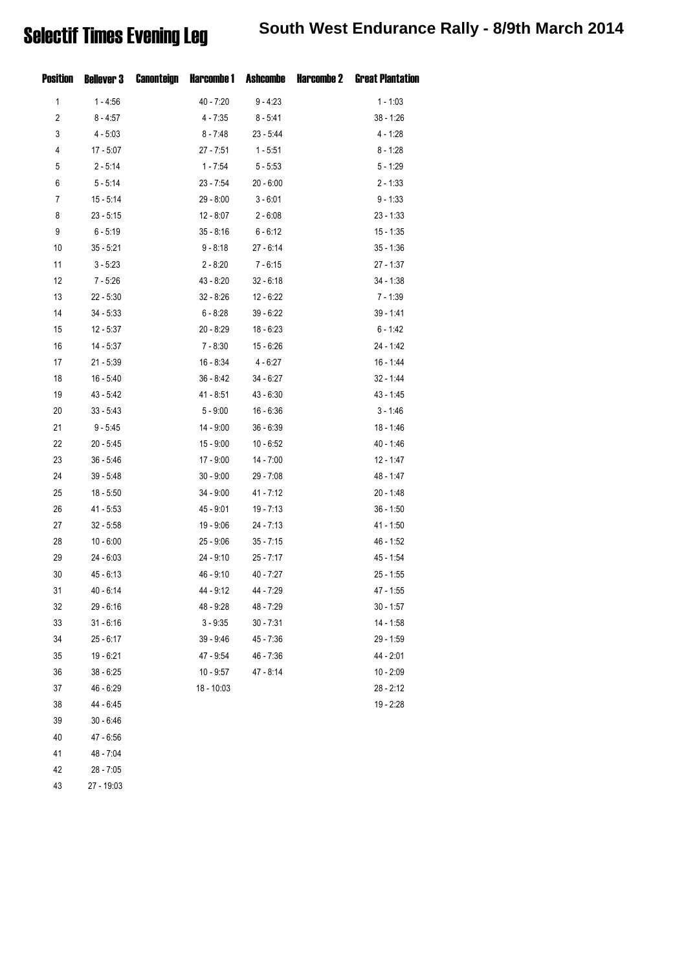| Position       | <b>Bellever 3</b> | Canonteign |              |             | Harcombe 1 Ashcombe Harcombe 2 Great Plantation |
|----------------|-------------------|------------|--------------|-------------|-------------------------------------------------|
| 1              | $1 - 4.56$        |            | $40 - 7:20$  | $9 - 4.23$  | $1 - 1:03$                                      |
| $\overline{c}$ | $8 - 4:57$        |            | $4 - 7:35$   | $8 - 5:41$  | $38 - 1:26$                                     |
| 3              | $4 - 5:03$        |            | $8 - 7:48$   | $23 - 5:44$ | $4 - 1:28$                                      |
| 4              | $17 - 5:07$       |            | $27 - 7:51$  | $1 - 5:51$  | $8 - 1:28$                                      |
| 5              | $2 - 5:14$        |            | $1 - 7.54$   | $5 - 5:53$  | $5 - 1:29$                                      |
| 6              | $5 - 5:14$        |            | $23 - 7:54$  | $20 - 6:00$ | $2 - 1:33$                                      |
| 7              | $15 - 5:14$       |            | $29 - 8:00$  | $3 - 6:01$  | $9 - 1:33$                                      |
| 8              | $23 - 5:15$       |            | $12 - 8:07$  | $2 - 6:08$  | $23 - 1:33$                                     |
| 9              | $6 - 5:19$        |            | $35 - 8:16$  | $6 - 6:12$  | $15 - 1:35$                                     |
| 10             | $35 - 5:21$       |            | $9 - 8:18$   | $27 - 6:14$ | $35 - 1:36$                                     |
| 11             | $3 - 5:23$        |            | $2 - 8:20$   | 7 - 6:15    | $27 - 1:37$                                     |
| 12             | $7 - 5:26$        |            | $43 - 8:20$  | $32 - 6:18$ | $34 - 1:38$                                     |
| 13             | $22 - 5:30$       |            | $32 - 8:26$  | $12 - 6:22$ | 7 - 1:39                                        |
| 14             | $34 - 5:33$       |            | $6 - 8:28$   | $39 - 6:22$ | $39 - 1:41$                                     |
| 15             | $12 - 5:37$       |            | $20 - 8:29$  | $18 - 6:23$ | 6 - 1:42                                        |
| 16             | $14 - 5:37$       |            | 7 - 8:30     | $15 - 6:26$ | 24 - 1:42                                       |
| 17             | $21 - 5:39$       |            | 16 - 8:34    | $4 - 6:27$  | 16 - 1:44                                       |
| 18             | $16 - 5:40$       |            | $36 - 8:42$  | $34 - 6:27$ | $32 - 1:44$                                     |
| 19             | $43 - 5:42$       |            | 41 - 8:51    | $43 - 6:30$ | 43 - 1:45                                       |
| 20             | $33 - 5:43$       |            | $5 - 9:00$   | $16 - 6:36$ | $3 - 1:46$                                      |
| 21             | $9 - 5:45$        |            | 14 - 9:00    | $36 - 6:39$ | 18 - 1:46                                       |
| 22             | $20 - 5:45$       |            | $15 - 9:00$  | $10 - 6:52$ | 40 - 1:46                                       |
| 23             | $36 - 5:46$       |            | 17 - 9:00    | $14 - 7:00$ | $12 - 1:47$                                     |
| 24             | $39 - 5:48$       |            | $30 - 9:00$  | $29 - 7:08$ | 48 - 1:47                                       |
| 25             | $18 - 5:50$       |            | $34 - 9:00$  | $41 - 7:12$ | $20 - 1:48$                                     |
| 26             | $41 - 5:53$       |            | $45 - 9:01$  | $19 - 7:13$ | $36 - 1:50$                                     |
| 27             | $32 - 5:58$       |            | 19 - 9:06    | $24 - 7:13$ | 41 - 1:50                                       |
| 28             | $10 - 6:00$       |            | $25 - 9:06$  | $35 - 7:15$ | 46 - 1:52                                       |
| 29             | $24 - 6:03$       |            | $24 - 9:10$  | $25 - 7:17$ | 45 - 1:54                                       |
| 30             | $45 - 6:13$       |            | 46 - 9:10    | $40 - 7:27$ | $25 - 1:55$                                     |
| 31             | $40 - 6:14$       |            | 44 - 9:12    | 44 - 7:29   | 47 - 1:55                                       |
| 32             | $29 - 6:16$       |            | 48 - 9:28    | 48 - 7:29   | $30 - 1:57$                                     |
| 33             | $31 - 6:16$       |            | $3 - 9:35$   | $30 - 7:31$ | 14 - 1:58                                       |
| 34             | $25 - 6:17$       |            | 39 - 9:46    | $45 - 7:36$ | 29 - 1:59                                       |
| 35             | 19 - 6:21         |            | 47 - 9:54    | 46 - 7:36   | 44 - 2:01                                       |
| 36             | $38 - 6:25$       |            | $10 - 9:57$  | $47 - 8:14$ | $10 - 2:09$                                     |
| 37             | 46 - 6:29         |            | $18 - 10:03$ |             | $28 - 2:12$                                     |
| 38             | 44 - 6:45         |            |              |             | 19 - 2:28                                       |
| 39             | $30 - 6:46$       |            |              |             |                                                 |
| 40             | 47 - 6:56         |            |              |             |                                                 |
| 41             | $48 - 7:04$       |            |              |             |                                                 |

42 28 - 7:05

43 27 - 19:03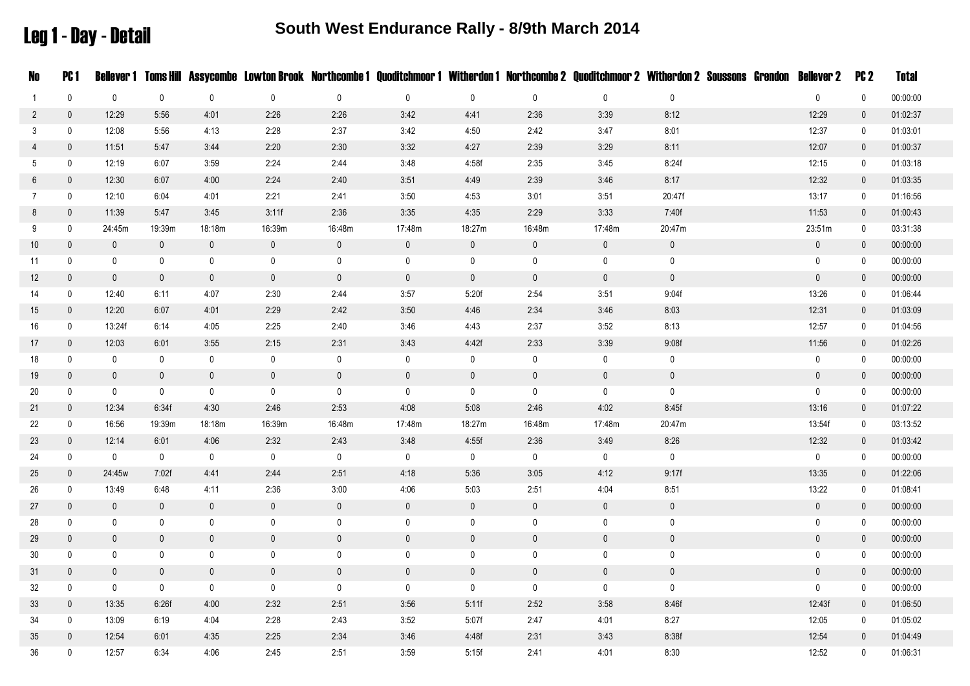Leg 1 - Day - Detail

| No              | <b>PC1</b>   |              |              |              |             |              |              |             |              | Bellever 1 Toms Hill Assycombe Lowton Brook Northcombe 1 Quoditchmoor 1 Witherdon 1 Northcombe 2 Quoditchmoor 2 Witherdon 2 Soussons Grendon Bellever 2 |              |  |              | PC <sub>2</sub> | <b>Total</b> |
|-----------------|--------------|--------------|--------------|--------------|-------------|--------------|--------------|-------------|--------------|---------------------------------------------------------------------------------------------------------------------------------------------------------|--------------|--|--------------|-----------------|--------------|
| 1               | $\mathbf 0$  | $\pmb{0}$    | $\mathbf 0$  | $\mathbf 0$  | 0           | $\mathbf 0$  | $\mathbf 0$  | $\mathbf 0$ | $\pmb{0}$    | $\mathbf 0$                                                                                                                                             | $\mathbf 0$  |  | $\mathbf 0$  | $\mathbf 0$     | 00:00:00     |
| $\overline{2}$  | $\mathbf 0$  | 12:29        | 5:56         | 4:01         | 2:26        | 2:26         | 3:42         | 4:41        | 2:36         | 3:39                                                                                                                                                    | 8:12         |  | 12:29        | $\mathbf 0$     | 01:02:37     |
| 3               | $\mathbf 0$  | 12:08        | 5:56         | 4:13         | 2:28        | 2:37         | 3:42         | 4:50        | 2:42         | 3.47                                                                                                                                                    | 8:01         |  | 12:37        | $\mathbf 0$     | 01:03:01     |
| $\overline{4}$  | $\mathbf 0$  | 11:51        | 5:47         | 3:44         | 2:20        | 2:30         | 3:32         | 4:27        | 2:39         | 3:29                                                                                                                                                    | 8:11         |  | 12:07        | $\mathbf 0$     | 01:00:37     |
| 5               | $\mathbf 0$  | 12:19        | 6:07         | 3:59         | 2:24        | 2.44         | 3:48         | 4:58f       | 2:35         | 3:45                                                                                                                                                    | 8:24f        |  | 12:15        | $\mathbf 0$     | 01:03:18     |
| 6               | $\mathbf 0$  | 12:30        | 6:07         | 4:00         | 2:24        | 2:40         | 3:51         | 4:49        | 2:39         | 3:46                                                                                                                                                    | 8:17         |  | 12:32        | $\overline{0}$  | 01:03:35     |
| $\overline{7}$  | $\mathbf 0$  | 12:10        | 6:04         | 4:01         | 2:21        | 2:41         | 3:50         | 4:53        | 3:01         | 3:51                                                                                                                                                    | 20:47f       |  | 13:17        | $\mathbf 0$     | 01:16:56     |
| 8               | $\mathbf 0$  | 11:39        | 5.47         | 3:45         | 3:11f       | 2:36         | 3:35         | 4:35        | 2:29         | 3:33                                                                                                                                                    | 7:40f        |  | 11:53        | $\overline{0}$  | 01:00:43     |
| 9               | $\mathbf 0$  | 24:45m       | 19:39m       | 18:18m       | 16:39m      | 16:48m       | 17:48m       | 18:27m      | 16:48m       | 17:48m                                                                                                                                                  | 20:47m       |  | 23:51m       | 0               | 03:31:38     |
| 10 <sup>°</sup> | $\mathbf 0$  | $\mathbf 0$  | $\mathbf 0$  | $\mathbf 0$  | $\mathbf 0$ | $\mathbf 0$  | $\pmb{0}$    | $\pmb{0}$   | $\mathbf 0$  | $\mathbf 0$                                                                                                                                             | $\pmb{0}$    |  | $\pmb{0}$    | $\mathbf 0$     | 00:00:00     |
| 11              | $\mathbf 0$  | $\mathbf 0$  | $\mathbf 0$  | 0            | $\mathbf 0$ | $\mathbf 0$  | $\mathbf 0$  | 0           | 0            | 0                                                                                                                                                       | $\mathbf 0$  |  | 0            | $\mathbf 0$     | 00:00:00     |
| 12              | $\mathbf 0$  | $\mathbf{0}$ | $\mathbf 0$  | $\mathbf 0$  | $\pmb{0}$   | $\mathbf 0$  | $\mathbf 0$  | $\pmb{0}$   | $\mathbf 0$  | $\mathbf 0$                                                                                                                                             | $\mathsf{0}$ |  | $\pmb{0}$    | $\mathbf 0$     | 00:00:00     |
| 14              | $\mathsf{0}$ | 12:40        | 6:11         | 4:07         | 2:30        | 2:44         | 3:57         | 5:20f       | 2:54         | 3:51                                                                                                                                                    | 9:04f        |  | 13:26        | 0               | 01:06:44     |
| 15              | $\mathbf 0$  | 12:20        | 6:07         | 4:01         | 2:29        | 2:42         | 3:50         | 4:46        | 2:34         | 3:46                                                                                                                                                    | 8:03         |  | 12:31        | $\mathbf 0$     | 01:03:09     |
| 16              | $\mathbf 0$  | 13:24f       | 6:14         | 4:05         | 2:25        | 2:40         | 3:46         | 4:43        | 2:37         | 3:52                                                                                                                                                    | 8:13         |  | 12:57        | $\mathbf 0$     | 01:04:56     |
| 17              | $\mathbf 0$  | 12:03        | 6:01         | 3:55         | 2:15        | 2:31         | 3:43         | 4:42f       | 2:33         | 3:39                                                                                                                                                    | 9:08f        |  | 11:56        | $\overline{0}$  | 01:02:26     |
| 18              | $\mathbf 0$  | 0            | $\mathbf 0$  | $\mathbf 0$  | 0           | $\mathbf 0$  | $\mathbf 0$  | $\pmb{0}$   | $\mathbf 0$  | 0                                                                                                                                                       | $\mathbf 0$  |  | $\pmb{0}$    | $\mathbf 0$     | 00:00:00     |
| 19              | $\mathbf 0$  | $\mathbf 0$  | $\mathbf 0$  | $\mathbf 0$  | $\mathsf 0$ | $\pmb{0}$    | $\mathbf{0}$ | $\pmb{0}$   | $\mathbf 0$  | $\mathbf 0$                                                                                                                                             | $\mathsf 0$  |  | $\mathbf 0$  | $\mathbf 0$     | 00:00:00     |
| 20              | $\mathbf 0$  | $\mathbf 0$  | $\mathbf 0$  | $\mathbf 0$  | $\mathbf 0$ | $\mathbf 0$  | $\mathbf 0$  | $\mathbf 0$ | $\mathbf 0$  | $\mathbf 0$                                                                                                                                             | $\mathbf 0$  |  | $\mathbf 0$  | $\mathbf 0$     | 00:00:00     |
| 21              | $\mathbf 0$  | 12:34        | 6:34f        | 4:30         | 2:46        | 2:53         | 4:08         | 5:08        | 2:46         | 4:02                                                                                                                                                    | 8:45f        |  | 13:16        | $\mathbf 0$     | 01:07:22     |
| 22              | $\mathbf 0$  | 16:56        | 19:39m       | 18:18m       | 16:39m      | 16:48m       | 17:48m       | 18:27m      | 16:48m       | 17:48m                                                                                                                                                  | 20:47m       |  | 13:54f       | $\mathbf 0$     | 03:13:52     |
| 23              | $\mathbf 0$  | 12:14        | 6:01         | 4:06         | 2:32        | 2:43         | 3:48         | 4:55f       | 2:36         | 3:49                                                                                                                                                    | 8:26         |  | 12:32        | $\mathbf 0$     | 01:03:42     |
| 24              | $\mathbf 0$  | 0            | $\mathbf 0$  | $\mathbf 0$  | $\mathbf 0$ | $\mathbf 0$  | $\mathbf 0$  | 0           | $\mathbf 0$  | $\mathbf 0$                                                                                                                                             | $\mathbf 0$  |  | $\mathbf 0$  | $\mathbf 0$     | 00:00:00     |
| 25              | $\mathbf 0$  | 24:45w       | 7:02f        | 4.41         | 2:44        | 2:51         | 4:18         | 5:36        | 3:05         | 4:12                                                                                                                                                    | 9:17f        |  | 13:35        | $\mathbf 0$     | 01:22:06     |
| 26              | $\mathbf 0$  | 13:49        | 6:48         | 4:11         | 2:36        | 3:00         | 4:06         | 5:03        | 2:51         | 4:04                                                                                                                                                    | 8:51         |  | 13:22        | 0               | 01:08:41     |
| 27              | $\mathbf 0$  | $\mathbf 0$  | $\mathbf 0$  | $\mathbf 0$  | $\mathsf 0$ | $\pmb{0}$    | $\mathbf 0$  | $\pmb{0}$   | $\mathsf{0}$ | $\mathbf 0$                                                                                                                                             | $\pmb{0}$    |  | $\pmb{0}$    | $\overline{0}$  | 00:00:00     |
| 28              | $\mathbf 0$  | $\mathbf 0$  | $\mathbf 0$  | $\mathbf 0$  | $\mathbf 0$ | $\mathbf 0$  | $\mathbf 0$  | $\pmb{0}$   | $\mathbf 0$  | $\mathbf 0$                                                                                                                                             | $\mathbf 0$  |  | $\pmb{0}$    | 0               | 00:00:00     |
| 29              | $\mathbf 0$  | $\mathbf{0}$ | $\mathbf{0}$ | $\mathbf 0$  | $\mathbf 0$ | $\mathbf 0$  | $\mathbf{0}$ | $\mathbf 0$ | $\mathbf 0$  | $\mathbf 0$                                                                                                                                             | $\mathbf 0$  |  | $\mathbf 0$  | $\mathbf 0$     | 00:00:00     |
| 30              | 0            | 0            | 0            | 0            | 0           | $\mathbf 0$  | $\mathbf 0$  | 0           | 0            | $\mathbf 0$                                                                                                                                             | 0            |  | 0            | 0               | 00:00:00     |
| 31              | $\mathbf{0}$ | $\mathbf{0}$ | $\mathbf{0}$ | $\mathbf{0}$ | $\mathbf 0$ | $\mathbf{0}$ | $\mathbf{0}$ | $\pmb{0}$   | $\mathbf{0}$ | $\mathbf{0}$                                                                                                                                            | $\mathbf 0$  |  | $\mathbf{0}$ | $\mathbf{0}$    | 00:00:00     |
| 32              | 0            | $\mathbf 0$  | $\mathbf 0$  | $\mathbf 0$  | 0           | $\mathbf 0$  | $\mathbf 0$  | $\mathbf 0$ | $\pmb{0}$    | $\mathsf{O}$                                                                                                                                            | $\mathbf 0$  |  | 0            | 0               | 00:00:00     |
| 33              | $\mathbf 0$  | 13:35        | 6:26f        | 4:00         | 2:32        | 2:51         | 3:56         | 5:11f       | 2:52         | 3:58                                                                                                                                                    | 8:46f        |  | 12:43f       | $\mathbf 0$     | 01:06:50     |
| 34              | $\mathbf 0$  | 13:09        | 6:19         | 4:04         | 2:28        | 2:43         | 3:52         | 5:07f       | 2:47         | 4:01                                                                                                                                                    | 8:27         |  | 12:05        | $\mathbf 0$     | 01:05:02     |
| 35              | $\mathbf 0$  | 12:54        | 6:01         | 4:35         | 2:25        | 2:34         | 3:46         | 4:48f       | 2:31         | 3:43                                                                                                                                                    | 8:38f        |  | 12:54        | $\mathbf 0$     | 01:04:49     |
| 36              | $\mathbf{0}$ | 12:57        | 6:34         | 4:06         | 2:45        | 2:51         | 3:59         | 5:15f       | 2:41         | 4:01                                                                                                                                                    | 8:30         |  | 12:52        | $\mathbf{0}$    | 01:06:31     |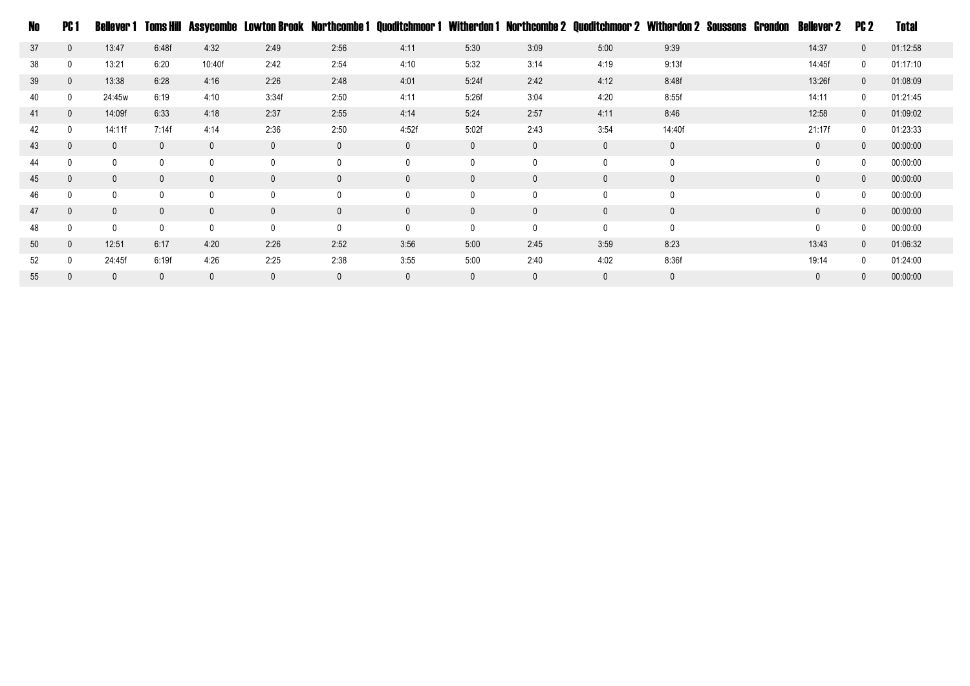| No. | PC 1         | Bellever 1   | Toms Hill    |              | Assycombe Lowton Brook Northcombe 1 |              |              |             |              | Quoditchmoor 1 Witherdon 1 Northcombe 2 Quoditchmoor 2 Witherdon 2 Soussons |              | Grendon | Bellever 2   | PC 2         | Total    |
|-----|--------------|--------------|--------------|--------------|-------------------------------------|--------------|--------------|-------------|--------------|-----------------------------------------------------------------------------|--------------|---------|--------------|--------------|----------|
| 37  | $\mathbf{0}$ | 13:47        | 6:48f        | 4:32         | 2:49                                | 2:56         | 4:11         | 5:30        | 3:09         | 5:00                                                                        | 9:39         |         | 14:37        | $\mathbf{0}$ | 01:12:58 |
| 38  | $\mathbf 0$  | 13:21        | 6:20         | 10:40f       | 2:42                                | 2:54         | 4:10         | 5:32        | 3:14         | 4:19                                                                        | 9:13f        |         | 14:45f       | 0            | 01:17:10 |
| 39  | $\mathbf{0}$ | 13:38        | 6:28         | 4:16         | 2:26                                | 2:48         | 4:01         | 5:24f       | 2:42         | 4:12                                                                        | 8:48f        |         | 13:26f       | $\mathbf{0}$ | 01:08:09 |
| 40  | $\mathbf 0$  | 24:45w       | 6:19         | 4:10         | 3:34f                               | 2:50         | 4:11         | 5:26f       | 3:04         | 4:20                                                                        | 8:55f        |         | 14:11        | 0            | 01:21:45 |
| 41  | $\mathbf{0}$ | 14:09f       | 6:33         | 4:18         | 2:37                                | 2:55         | 4:14         | 5:24        | 2:57         | 4:11                                                                        | 8:46         |         | 12:58        | $\mathbf{0}$ | 01:09:02 |
| 42  | $\mathbf 0$  | 14:11f       | 7:14f        | 4:14         | 2:36                                | 2:50         | 4:52f        | 5:02f       | 2:43         | 3:54                                                                        | 14:40f       |         | 21:17f       | $\mathbf 0$  | 01:23:33 |
| 43  | $\mathbf{0}$ | $\mathbf{0}$ | $\mathbf{0}$ | $\mathbf 0$  | $\mathbf 0$                         | $\mathbf{0}$ | $\mathbf{0}$ | $\mathbf 0$ | $\mathbf 0$  | $\mathbf{0}$                                                                | $\mathbf 0$  |         | $\mathbf{0}$ | $\mathbf{0}$ | 00:00:00 |
| 44  | 0            | 0            | $\mathbf 0$  | $\mathbf 0$  | 0                                   | 0            | $\mathbf{0}$ | $\mathbf 0$ | $\mathbf 0$  | 0                                                                           | 0            |         | 0            | 0            | 00:00:00 |
| 45  | $\mathbf{0}$ | $\mathbf{0}$ | $\mathbf{0}$ | $\mathbf{0}$ | $\mathbf{0}$                        | $\mathbf{0}$ | $\mathbf{0}$ | $\mathbf 0$ | $\mathbf{0}$ | $\mathbf{0}$                                                                | $\mathbf 0$  |         | $\mathbf{0}$ | $\mathbf{0}$ | 00:00:00 |
| 46  | $\mathbf{0}$ | 0            | $\mathbf 0$  | $\mathbf 0$  | 0                                   | $\mathbf{0}$ | 0            | 0           | $\mathbf 0$  |                                                                             | $\mathbf{0}$ |         | 0            | 0            | 00:00:00 |
| 47  | $\mathbf{0}$ | $\mathbf{0}$ | $\mathbf 0$  | $\mathbf{0}$ | $\mathbf 0$                         | $\mathbf{0}$ | $\mathbf{0}$ | $\mathbf 0$ | $\mathbf{0}$ | $\mathbf{0}$                                                                | $\mathbf 0$  |         | $\mathbf{0}$ | $\mathbf{0}$ | 00:00:00 |
| 48  | $\mathbf{0}$ | 0            | $\mathbf 0$  | $\mathbf 0$  | 0                                   | $\Omega$     |              | 0           | $\mathbf{0}$ |                                                                             | 0            |         | $\Omega$     | 0            | 00:00:00 |
| 50  | $\mathbf{0}$ | 12:51        | 6:17         | 4:20         | 2:26                                | 2:52         | 3:56         | 5:00        | 2:45         | 3:59                                                                        | 8:23         |         | 13:43        | $\mathbf{0}$ | 01:06:32 |
| 52  | $\mathbf{0}$ | 24:45f       | 6:19f        | 4:26         | 2:25                                | 2:38         | 3:55         | 5:00        | 2:40         | 4:02                                                                        | 8:36f        |         | 19:14        | $\mathbf{0}$ | 01:24:00 |
| 55  |              | 0            | $\mathbf{0}$ | $\mathbf{0}$ | 0                                   | $\mathbf{0}$ | 0            | $\mathbf 0$ | $\mathbf{0}$ |                                                                             | $\mathbf{0}$ |         | 0            | $\mathbf{0}$ | 00:00:00 |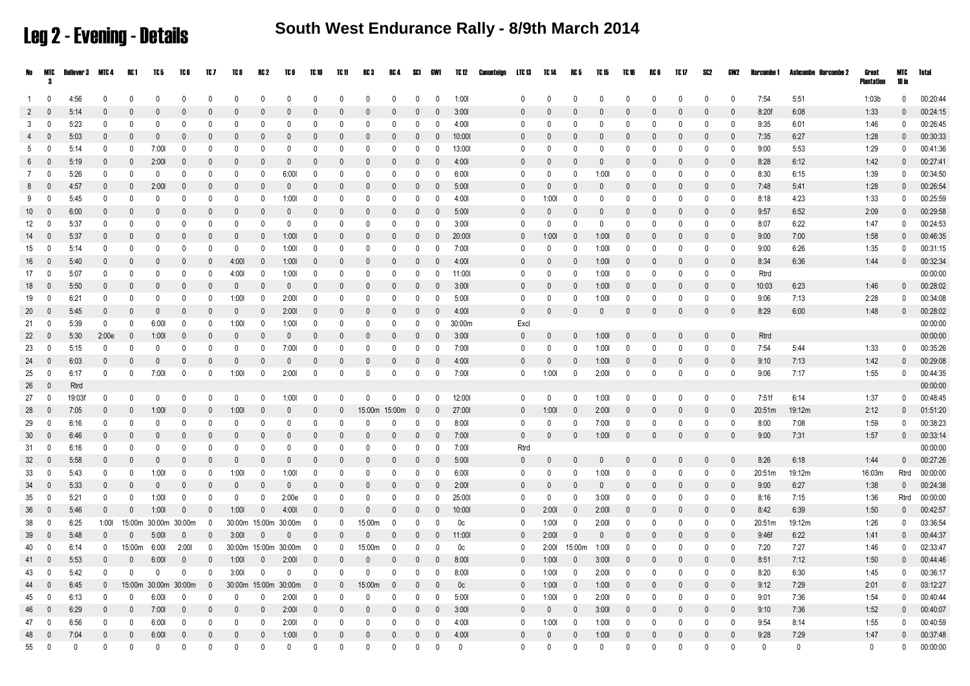Leg 2 - Evening - Details

**South West Endurance Rally - 8/9th March 2014**

|                 | No MTC         | Bellever 3   | MTC 4        | RC 1         | TC 5                 | TC 6         | TC 7           | TC 8         | RC 2         | TC 9                    | TC 10                    | TC 11        | RC 3          | RC 4 SC1                |                          | GW1                     | TC 12          | Canonteign | LTC 13       | TC 14        | RC 5           | TC 15        | TC 16        | RC 6         | TC 17        | SC2          | GW2          | Harcombe 1   | Ashcombe Harcombe 2 | Great<br>Plantation | MIC<br>18 in | Total    |
|-----------------|----------------|--------------|--------------|--------------|----------------------|--------------|----------------|--------------|--------------|-------------------------|--------------------------|--------------|---------------|-------------------------|--------------------------|-------------------------|----------------|------------|--------------|--------------|----------------|--------------|--------------|--------------|--------------|--------------|--------------|--------------|---------------------|---------------------|--------------|----------|
| $\overline{1}$  | - 0            | 4:56         | $\mathbf{0}$ | $\mathbf{0}$ | $\mathbf{0}$         | $\mathsf{O}$ | $\Omega$       | $\Omega$     | $\Omega$     | $\Omega$                | $\Omega$                 | $\Omega$     | $\mathbf{0}$  | $\Omega$                | $\Omega$                 | $\mathbf{0}$            | 1:001          |            | $\Omega$     | $\Omega$     | $\mathsf{O}$   | $\Omega$     | $\mathbf{0}$ | $\Omega$     | $\Omega$     | $\Omega$     | $\Omega$     | 7:54         | 5:51                | 1:03b               | $\mathbf{0}$ | 00:20:44 |
| 2               | $\Omega$       | 5:14         | $\mathbf 0$  | $\Omega$     | $\mathbf{0}$         | $\Omega$     | $\mathbf{0}$   | $\Omega$     | $\Omega$     | $\Omega$                | $\Omega$                 | $\Omega$     | $\mathbf{0}$  | $\mathbf{0}$            | $\Omega$                 | $\overline{0}$          | 3:001          |            | $\Omega$     | $\Omega$     | $\mathbf{0}$   | $\Omega$     | $\mathbf{0}$ | $\Omega$     | $\mathbf{0}$ | $\Omega$     | $\Omega$     | 8:20f        | 6:08                | 1:33                | $\mathbf{0}$ | 00:24:15 |
| 3               | 0              | 5:23         | $^{\circ}$   | 0            | 0                    | $\mathbf{0}$ | 0              | $\mathbf{0}$ | 0            | 0                       | $\Omega$                 | $\mathbf{0}$ | 0             | $\mathbf 0$             | $\Omega$                 | 0                       | 4:00           |            | 0            | 0            | 0              | $\Omega$     | 0            | $\mathbf{0}$ | $\mathbf{0}$ | 0            | $\mathbf{0}$ | 9:35         | 6:01                | 1:46                | $^{\circ}$   | 00:26:45 |
| $\overline{4}$  | $\Omega$       | 5:03         | $\mathbf{0}$ | $\Omega$     | $\mathbf{0}$         | $\Omega$     | $\Omega$       | $\Omega$     | $\Omega$     | $\Omega$                | $\Omega$                 | $\mathbf{0}$ | $\mathbf{0}$  | $\Omega$                | $\Omega$                 | 0                       | 10:001         |            | $\Omega$     | $\Omega$     | $\Omega$       | $\Omega$     | $\mathbf{0}$ | $\mathbf{0}$ | $\mathsf{O}$ | $\Omega$     | $\mathbf{0}$ | 7:35         | 6:27                | 1:28                | $\mathbf{0}$ | 00:30:33 |
| 5               | 0              | 5:14         | 0            | 0            | 7:001                | 0            | 0              | 0            | $\Omega$     | $\mathbf{0}$            | $\Omega$                 | $\mathbf{0}$ | 0             | 0                       | $\Omega$                 | 0                       | 13:001         |            | 0            | 0            | $\Omega$       | $\Omega$     | 0            | $\mathbf{0}$ | 0            | 0            | $\mathbf{0}$ | 9:00         | 5:53                | 1:29                | $\mathbf{0}$ | 00:41:36 |
| 6               | $\mathbf{0}$   | 5:19         | $\mathbf{0}$ | $\Omega$     | 2:001                | $\Omega$     | $\Omega$       | $\theta$     | $\theta$     | $\Omega$                | $\Omega$                 | $\theta$     | $\mathbf{0}$  | $\Omega$                | $\Omega$                 | $\mathbf{0}$            | 4:001          |            | $\mathbf{0}$ | $\Omega$     | $\Omega$       | $\Omega$     | $\Omega$     | $\theta$     | $\mathbf{0}$ | $\Omega$     | $\mathbf{0}$ | 8:28         | 6:12                | 1:42                | $\mathbf{0}$ | 00:27:41 |
| 7               | $\mathbf{0}$   | 5:26         | $^{\circ}$   | $\mathbf 0$  | $\mathbf 0$          | $\mathbf{0}$ | 0              | $\mathbf 0$  | $\Omega$     | 6:001                   | $\mathbf{0}$             | $\mathbf{0}$ | $\mathbf{0}$  | $\mathbf 0$             | $\mathbf{0}$             | $\overline{0}$          | 6:001          |            | $\mathbf 0$  | $\Omega$     | 0              | 1:001        | $\mathbf 0$  | $\mathbf{0}$ | $\mathbf 0$  | $\mathbf 0$  | $\mathbf{0}$ | 8:30         | 6:15                | 1:39                | $\mathbf{0}$ | 00:34:50 |
| 8               | $\mathbf{0}$   | 4:57         | $\mathbf{0}$ | $\mathbf{0}$ | 2:001                | $\Omega$     | $\Omega$       | $\Omega$     | $\Omega$     | $\Omega$                | $\Omega$                 | $\theta$     | $\Omega$      | $\mathbf{0}$            | $\Omega$                 | $\overline{0}$          | 5:001          |            | $\mathbf{0}$ | $\Omega$     | $\Omega$       | $\Omega$     | $\Omega$     | $\mathbf{0}$ | $\Omega$     | $\Omega$     | $\mathbf{0}$ | 7:48         | 5:41                | 1:28                | $\mathbf{0}$ | 00:26:54 |
| 9               | 0              | 5:45         | 0            | 0            | $\Omega$             | $\Omega$     | $\Omega$       | $\mathbf{0}$ | $\Omega$     | 1:001                   | 0                        | $\mathbf{0}$ | $\Omega$      | $\Omega$                | $\Omega$                 | $\mathbf{0}$            | 4:00           |            | 0            | 1:00         | 0              | $\Omega$     | 0            | $\mathbf{0}$ | $\mathbf{0}$ | 0            | $\mathbf{0}$ | 8:18         | 4:23                | 1:33                | $\mathbf{0}$ | 00:25:59 |
| 10 <sup>1</sup> | $\mathbf{0}$   | 6:00         | $\mathbf{0}$ | $\mathbf{0}$ | $\Omega$             | $\Omega$     | $\mathbf{0}$   | $\mathbf{0}$ | $\Omega$     | $\Omega$                | $\mathbf{0}$             | $\Omega$     | $\mathbf{0}$  | $\mathbf{0}$            | $\Omega$                 | $\overline{0}$          | 5:001          |            | $\mathbf{0}$ | $\mathbf{0}$ | $\mathbf{0}$   | $\mathbf{0}$ | $\mathbf{0}$ | $\Omega$     | $\mathbf{0}$ | $\mathbf{0}$ | $\mathbf{0}$ | 9:57         | 6:52                | 2:09                | $\mathbf{0}$ | 00:29:58 |
| 12              | 0              | 5:37         | $^{\circ}$   | $\mathbf 0$  | $\mathbf 0$          | $\mathbf{0}$ | 0              | 0            | $\mathbf{0}$ | $^{\circ}$              | 0                        | $\mathbf 0$  | 0             | 0                       | $^{\circ}$               | $\mathbf{0}$            | 3:001          |            | $^{\circ}$   | $\mathbf 0$  | 0              | $\mathbf 0$  | $\mathbf 0$  | $\mathbf{0}$ | 0            | $\mathbf 0$  | $\mathbf{0}$ | 8:07         | 6:22                | 1:47                | 0            | 00:24:53 |
| 14              | $\Omega$       | 5:37         | $\mathbf{0}$ | $\Omega$     | $\mathbf{0}$         | $\Omega$     | $\mathbf{0}$   | $\mathbf{0}$ | $\Omega$     | 1:001                   | $\overline{0}$           | $\mathbf{0}$ | $\mathbf{0}$  | $\overline{0}$          | $\Omega$                 | $\mathbf{0}$            | 20:001         |            | $\mathbf{0}$ | 1:001        | $\overline{0}$ | 1:001        | $\mathbf{0}$ | $\Omega$     | $\mathbf{0}$ | $\mathbf{0}$ | $\mathbf{0}$ | 9:00         | 7:00                | 1:58                | $\Omega$     | 00:46:35 |
| 15              | 0              | 5:14         | $\mathbf{0}$ | $\mathbf{0}$ | $\mathbf{0}$         | $\Omega$     | $\mathbf{0}$   | 0            | $\Omega$     | 1:00                    | $\Omega$                 | $\Omega$     | $\Omega$      | $\mathbf{0}$            | $\mathsf{D}$             | 0                       | 7:001          |            | 0            | $\Omega$     | $\mathbf{0}$   | 1:001        | $\mathbf{0}$ | $\Omega$     | $\Omega$     | 0            | 0            | 9:00         | 6:26                | 1:35                | $\mathbf{0}$ | 00:31:15 |
| 16              | $\mathbf{0}$   | 5:40         | $\mathbf{0}$ | $\Omega$     | $\Omega$             | $\Omega$     | $\Omega$       | 4:00         | $\Omega$     | 1:001                   | $\mathbf{0}$             | $\Omega$     | $\mathbf{0}$  | $\Omega$                | $\Omega$                 | $\mathbf{0}$            | 4:00           |            | $\mathbf{0}$ | $\Omega$     | $\mathbf{0}$   | 1:001        | $\mathbf 0$  | $\Omega$     | $\Omega$     | $\Omega$     | $\mathbf{0}$ | 8:34         | 6:36                | 1:44                | $\mathbf{0}$ | 00:32:34 |
| 17              | - 0            | 5:07         | $^{\circ}$   | $\mathbf{0}$ | - 0                  | $\Omega$     | 0              | 4:00         | 0            | 1:00                    | 0                        | $\mathbf{0}$ | 0             | 0                       | $\Omega$                 | - 0                     | 11:001         |            | 0            | 0            | 0              | 1:001        | 0            | $\mathbf{0}$ | 0            | $\mathbf 0$  | $\mathbf{0}$ | Rtrd         |                     |                     |              | 00:00:00 |
| 18              | $\Omega$       | 5:50         | $\mathbf{0}$ | $\Omega$     | $\Omega$             | $\Omega$     | $\Omega$       | $\Omega$     | $\theta$     | $\Omega$                | $\mathbf{0}$             | $\theta$     | $\Omega$      | $\Omega$                | $\Omega$                 | $\mathbf{0}$            | 3:001          |            | $\Omega$     | $\Omega$     | $\Omega$       | 1:001        | $\mathbf{0}$ | $\mathbf{0}$ | $\Omega$     | $\Omega$     | $\Omega$     | 10:03        | 6:23                | 1:46                | $\mathbf{0}$ | 00:28:02 |
| 19              | 0              | 6:21         | 0            | $\mathbf{0}$ | $\mathbf{0}$         | $\mathbf{0}$ | $\mathbf{0}$   | 1:00         | $\mathbf{0}$ | 2:001                   | $\mathbf{0}$             | $\Omega$     | $\mathbf{0}$  | 0                       | $\Omega$                 | $\mathbf 0$             | 5:00           |            | $\Omega$     | $\Omega$     | $\mathbf{0}$   | 1:001        | $\mathbf{0}$ | $\Omega$     | $\mathbf{0}$ | $\Omega$     | $\Omega$     | 9:06         | 7:13                | 2:28                | $\Omega$     | 00:34:08 |
| 20              | $\mathbf{0}$   | 5:45         | $\mathbf{0}$ | $\mathbf{0}$ | $\mathbf{0}$         | $\Omega$     | $\Omega$       | $\Omega$     | $\theta$     | 2:001                   | $\mathbf{0}$             | $\theta$     | $\mathbf{0}$  | $\Omega$                | $\Omega$                 | $\overline{\mathbf{0}}$ | 4:00           |            | $\mathbf 0$  | $\Omega$     | $\mathbf{0}$   | $\mathbf{0}$ | $\mathbf{0}$ | $\mathbf{0}$ | $\mathsf{O}$ | $\Omega$     | $\mathbf{0}$ | 8:29         | 6:00                | 1:48                | $\mathbf{0}$ | 00:28:02 |
| 21              | 0              | 5:39         | $^{\circ}$   | $\mathbf{0}$ | 6:001                | $\mathbf{0}$ | 0              | 1:00         | 0            | 1:001                   | 0                        | $\mathbf{0}$ | 0             | 0                       | $\Omega$                 | - 0                     | 30:00m         |            | Excl         |              |                |              |              |              |              |              |              |              |                     |                     |              | 00:00:00 |
| 22              | $\mathbf{0}$   | 5:30         | 2:00e        | $\mathbf{0}$ | 1:001                | $\Omega$     | $\mathbf{0}$   | $\mathbf{0}$ | $\Omega$     | $\theta$                | $\Omega$                 | $\theta$     | $\Omega$      | $\Omega$                | $\Omega$                 | $\mathbf{0}$            | 3:001          |            | $\mathbf{0}$ | $\Omega$     | $\mathsf{O}$   | 1:001        | $\mathbf{0}$ | $\mathbf{0}$ | $\Omega$     | $\Omega$     | $\mathbf{0}$ | Rtrd         |                     |                     |              | 00:00:00 |
| 23              | 0              | 5:15         | 0            | $\mathbf 0$  | 0                    | $\Omega$     | 0              | $\mathbf 0$  | 0            | 7:00                    | 0                        | $\mathbf 0$  | 0             | 0                       | $\mathbf 0$              | 0                       | 7:001          |            | 0            | 0            | 0              | 1:001        | 0            | $\mathbf 0$  | $\mathbf 0$  | $\mathbf 0$  | $\mathbf 0$  | 7:54         | 5:44                | 1:33                | 0            | 00:35:26 |
| 24              | $\overline{0}$ | 6:03         | $\mathbf{0}$ | $\Omega$     | $\mathbf{0}$         | $\Omega$     | $\mathbf{0}$   | $\Omega$     | $\Omega$     | $\mathbf 0$             | $\mathbf{0}$             | $\Omega$     | $\mathbf{0}$  | $\mathbf 0$             | $\mathbf{0}$             | $\overline{\mathbf{0}}$ | 4:00           |            | $\mathbf{0}$ | $\mathbf{0}$ | $\mathbf{0}$   | 1:001        | $\mathbf{0}$ | $\mathbf{0}$ | $\Omega$     | $\Omega$     | $\mathbf{0}$ | 9:10         | 7:13                | 1:42                | $\mathbf{0}$ | 00:29:08 |
| 25              | $^{\circ}$     | 6:17         | $\mathbf 0$  | $\mathbf 0$  | 7:00                 | $\mathbf{0}$ | 0              | 1:00         | $\mathbf{0}$ | 2:001                   | $\mathbf 0$              | $\mathbf 0$  | $\mathbf{0}$  | $\mathbf 0$             | $\mathbf{0}$             | $\mathbf 0$             | 7:001          |            | $^{\circ}$   | 1:00         | $\mathbf 0$    | 2:001        | $\mathbf{0}$ | $\mathbf{0}$ | 0            | $\Omega$     | $\mathbf 0$  | 9:06         | 7:17                | 1:55                | $\mathbf{0}$ | 00:44:35 |
| 26              | $\mathbf{0}$   | Rtrd         |              |              |                      |              |                |              |              |                         |                          |              |               |                         |                          |                         |                |            |              |              |                |              |              |              |              |              |              |              |                     |                     |              | 00:00:00 |
| 27              | 0              | 19:03f       | 0            | 0            | 0                    | 0            | 0              | 0            | $\mathsf{O}$ | 1:00                    | $\mathbf{0}$             | $\Omega$     | $\mathbf 0$   | $\Omega$                | $\Omega$                 | 0                       | 12:001         |            | 0            | $\Omega$     | $\mathbf 0$    | 1:001        | 0            | 0            | $\mathbf 0$  | 0            | 0            | 7:51f        | 6:14                | 1:37                | $\Omega$     | 00:48:45 |
| 28              | $\Omega$       | 7:05         | $\mathbf 0$  | $\mathbf{0}$ | 1:001                | $\Omega$     | $\mathbf{0}$   | 1:001        | $\Omega$     | $\Omega$                | $\mathbf{0}$             | $\Omega$     | 15:00m 15:00m |                         | $\overline{\phantom{0}}$ | $\overline{0}$          | 27:001         |            | $\mathbf{0}$ | 1:001        | $\mathbf{0}$   | 2:001        | $\mathbf 0$  | $\mathbf{0}$ | $\mathbf{0}$ | $\mathbf{0}$ | $\mathbf{0}$ | 20:51m       | 19:12m              | 2:12                | $\mathbf{0}$ | 01:51:20 |
| 29              | 0              | 6:16         | $^{\circ}$   | $\mathbf 0$  | 0                    | $\mathbf{0}$ | 0              | 0            | 0            | 0                       | 0                        | $\mathbf{0}$ | 0             | 0                       | $^{\circ}$               | $\mathbf{0}$            | 8:001          |            | $^{\circ}$   | $\Omega$     | 0              | 7:001        | $\mathbf 0$  | $\mathbf{0}$ | 0            | $\mathbf 0$  | $\mathbf 0$  | 8:00         | 7:08                | 1:59                | $\mathbf{0}$ | 00:38:23 |
| 30              | $\Omega$       | 6:46         | $\mathbf{0}$ | $\Omega$     | $\Omega$             | $\Omega$     | $\Omega$       | $\Omega$     | $\Omega$     | -0                      | $\Omega$                 | $\Omega$     | $\Omega$      | $\mathbf{0}$            | $\Omega$                 | $\mathbf{0}$            | 7:001          |            | $\mathbf{0}$ | $\Omega$     | $\mathbf{0}$   | 1:001        | $\mathbf{0}$ | $\Omega$     | $\mathsf{O}$ | $\Omega$     | $\Omega$     | 9:00         | 7:31                | 1:57                | $\mathbf{0}$ | 00:33:14 |
| 31              | 0              | 6:16         | 0            | 0            | 0                    | 0            | 0              | 0            | $\Omega$     | 0                       | $\Omega$                 | $\Omega$     | $\Omega$      | 0                       | $\Omega$                 | 0                       | 7:00           |            | Rtrd         |              |                |              |              |              |              |              |              |              |                     |                     |              | 00:00:00 |
| 32              | $\Omega$       | 5:58         | $\Omega$     | $\Omega$     | $\Omega$             | $\Omega$     | $\Omega$       | $\Omega$     | $\Omega$     | $\Omega$                | $\Omega$                 | $\theta$     | $\Omega$      | $\Omega$                | $\Omega$                 | $\overline{0}$          | 5:001          |            | $\Omega$     | $\Omega$     | $\mathbf{0}$   | $\mathbf{0}$ | $\mathbf{0}$ | $\Omega$     | $\Omega$     | $\Omega$     | $\mathbf{0}$ | 8:26         | 6:18                | 1:44                | $\mathbf{0}$ | 00:27:26 |
| 33              | $^{\circ}$     | 5:43         | 0            | 0            | 1:001                | 0            | 0              | 1:00         | 0            | 1:001                   | 0                        | 0            | 0             | $\mathbf{0}$            | $^{\circ}$               | - 0                     | 6:001          |            | $^{\circ}$   | 0            | 0              | 1:001        | $\mathbf 0$  | 0            | 0            | 0            | 0            | 20:51m       | 19:12m              | 16:03m              | Rtrd         | 00:00:00 |
| 34              | $\mathbf 0$    | 5:33         | $\Omega$     | $\Omega$     | $\mathbf 0$          | $\Omega$     | $\mathbf{0}$   | $\Omega$     | $\Omega$     | $\overline{\mathbf{0}}$ | $\Omega$                 | $\Omega$     | $\Omega$      | $\overline{0}$          | $\Omega$                 | $\overline{\mathbf{0}}$ | 2:001          |            | $\mathbf 0$  | $\Omega$     | $\mathbf{0}$   | $\Omega$     | $\Omega$     | $\Omega$     | $\mathsf{O}$ | $\Omega$     | $\mathbf{0}$ | 9:00         | 6:27                | 1:38                | $\mathbf 0$  | 00:24:38 |
| 35              | 0              | 5:21         | $^{\circ}$   | $^{\circ}$   | 1:001                | 0            | 0              | 0            | $\Omega$     | 2:00e                   | 0                        | $\Omega$     | $\mathbf 0$   | 0                       | $\mathsf{D}$             | 0                       | 25:001         |            | 0            | 0            | $\mathbf 0$    | 3:001        | 0            | $\Omega$     | 0            | 0            | $\Omega$     | 8:16         | 7:15                | 1:36                | Rtrd         | 00:00:00 |
| 36              | $\mathbf{0}$   | 5:46         | $\mathbf 0$  | $\mathbf 0$  | 1:001                | $\mathbf{0}$ | $\mathbf{0}$   | 1:001        | $\Omega$     | 4:00                    | $\mathbf{0}$             | $\Omega$     | $\mathbf{0}$  | $\mathbf{0}$            | $\Omega$                 | $\overline{\mathbf{0}}$ | 10:00          |            | $\mathbf{0}$ | 2:001        | $\mathbf 0$    | 2:001        | $\mathbf 0$  | $\mathbf{0}$ | $\theta$     | $\Omega$     | $\mathbf{0}$ | 8:42         | 6:39                | 1:50                | $\mathbf{0}$ | 00:42:57 |
| 38              | $^{\circ}$     | 6:25         | 1:001        | 15:00m       | 30:00m               | 30:00m       | $\overline{0}$ |              |              | 30:00m 15:00m 30:00m    | $\overline{0}$           | $\mathbf{0}$ | 15:00m        | 0                       | $\Omega$                 | - 0                     | 0 <sup>c</sup> |            | 0            | 1:001        | $\mathbf{0}$   | 2:001        | 0            | $\mathbf{0}$ | 0            | 0            | $\mathbf{0}$ | 20:51m       | 19:12m              | 1:26                | 0            | 03:36:54 |
| 39              | $\mathbf 0$    | 5:48         | $\mathbf 0$  | $\mathbf 0$  | 5:001                | $\mathbf 0$  | $\mathbf 0$    | 3:001        | $\Omega$     | $\Omega$                | $\mathbf 0$              | $\mathbf{0}$ | $\mathbf{0}$  | $\Omega$                | $\Omega$                 | 0                       | 11:001         |            | $\mathbf 0$  | 2:001        | $\mathbf 0$    | $\Omega$     | $\mathbf{0}$ | $\mathbf{0}$ | $\mathbf{0}$ | $\mathbf 0$  | $\mathbf{0}$ | 9:46f        | 6:22                | 1:41                | $\mathbf{0}$ | 00:44:37 |
| 40              | 0              | 6:14         | $^{\circ}$   | 15:00m       | 6:001                | 2:001        | $\mathbf 0$    |              |              | 30:00m 15:00m 30:00m    | $\overline{\phantom{0}}$ | $\mathbf 0$  | 15:00m        | 0                       | $\mathbf{0}$             | $\mathbf{0}$            | 0c             |            | $\mathbf 0$  | 2:001        | 15:00m 1:00l   |              | 0            | $\mathbf{0}$ | $\mathbf 0$  | 0            | $\mathbf{0}$ | 7:20         | 7:27                | 1:46                | $\mathbf{0}$ | 02:33:47 |
| 41              | $\mathbf{0}$   | 5:53         | $\mathbf{0}$ | $\mathbf{0}$ | 6:001                | $\mathbf{0}$ | $\mathbf{0}$   | 1:001        | 0            | 2:001                   | $\overline{0}$           | $\mathbf{0}$ | $\mathbf{0}$  | $\Omega$                | $\Omega$                 | $\overline{\mathbf{0}}$ | 8:001          |            | $\mathbf 0$  | 1:001        | $\mathbf 0$    | 3:001        | $\mathbf{0}$ | $\Omega$     | $\Omega$     | $\Omega$     | $\mathbf{0}$ | 8:51         | 7:12                | 1:50                | $\mathbf{0}$ | 00:44:46 |
| 43              | $\mathbf 0$    | 5:42         | $^{\circ}$   | $^{\circ}$   | 0                    | $^{\circ}$   | 0              | 3:001        | 0            | 0                       | 0                        | $\mathbf 0$  | 0             | $\mathbf 0$             | $\Omega$                 | 0                       | 8:001          |            | $^{\circ}$   | 1:001        | 0              | 2:001        | 0            | $\mathbf{0}$ | 0            | 0            | $\mathbf{0}$ | 8:20         | 6:30                | 1:45                | 0            | 00:36:17 |
| 44              | $\Omega$       | 6:45         | $\mathbf{0}$ |              | 15:00m 30:00m 30:00m |              | $\Omega$       |              |              | 30:00m 15:00m 30:00m    | $\overline{0}$           | $\mathbf{0}$ | 15:00m        | $\overline{\mathbf{0}}$ | $\Omega$                 | $\mathbf{0}$            | 0 <sub>c</sub> |            | $\mathbf 0$  | 1:001        | $\overline{0}$ | 1:001        | $\mathbf 0$  | $\Omega$     | $\mathsf{O}$ | $\Omega$     | $\Omega$     | 9:12         | 7:29                | 2:01                | $\mathbf{0}$ | 03:12:27 |
| 45              | 0              | 6:13         | 0            | $\mathbf 0$  | 6:001                | 0            | 0              | 0            | $\mathbf{0}$ | 2:001                   | $\mathbf 0$              | $\mathbf 0$  | 0             | 0                       | 0                        | 0                       | 5:001          |            | 0            | 1:00         | 0              | 2:001        | 0            | $\mathbf 0$  | 0            | $\mathbf 0$  | 0            | 9:01         | 7:36                | 1:54                | 0            | 00:40:44 |
| 46              | $\mathbf{0}$   | 6:29         | $\Omega$     | $\Omega$     | 7:001                | $\Omega$     | $\mathbf{0}$   | $\Omega$     | $\mathbf{0}$ | 2:001                   | $\mathbf{0}$             | $\mathbf{0}$ | $\mathbf{0}$  | $\mathbf{0}$            | $\mathbf{0}$             | $\mathbf{0}$            | 3:001          |            | $\mathbf{0}$ | 0            | $\mathbf{0}$   | 3:001        | $\mathbf{0}$ | $\mathbf{0}$ | $\Omega$     | $\Omega$     | $\Omega$     | 9:10         | 7:36                | 1:52                | $\mathbf{0}$ | 00:40:07 |
| 47              | $^{\circ}$     | 6:56         | $\mathbf{0}$ | $^{\circ}$   | 6:001                | $\mathsf{O}$ | $\Omega$       | 0            | $\Omega$     | 2:001                   | $\Omega$                 | $\Omega$     | $\Omega$      | 0                       | $\Omega$                 | $\mathbf{0}$            | 4:001          |            | $^{\circ}$   | 1:001        | 0              | 1:001        | 0            | $\mathbf{0}$ | $\Omega$     | $\mathbf{0}$ | $\Omega$     | 9:54         | 8:14                | 1:55                | $\mathsf{O}$ | 00:40:59 |
| 48              | $\mathbf 0$    | 7:04         | $\mathbf{0}$ | $\mathbf 0$  | 6:001                | $\mathsf{O}$ | $\mathbf{0}$   | $\Omega$     | $\mathbf{0}$ | 1:001                   | $\mathbf{0}$             | $\Omega$     | $\mathbf{0}$  | $\mathbf 0$             | $\mathbf{0}$             | $\overline{\mathbf{0}}$ | 4:00           |            | $\mathbf{0}$ | $\Omega$     | $\Omega$       | 1:001        | $\mathbf 0$  | $\Omega$     | $\Omega$     | $\Omega$     | $\mathbf{0}$ | 9:28         | 7:29                | 1:47                | $\Omega$     | 00:37:48 |
|                 | 55 0           | $\mathbf{0}$ | $\mathbf{0}$ | $\mathbf{0}$ | $\mathbf{0}$         | $\mathsf{U}$ | $\mathbf{0}$   | $\mathbf{0}$ | $\Omega$     | $\mathbf{0}$            | $\Omega$                 | $\mathbf{0}$ | $\mathbf{0}$  | $\mathbf{0}$            | $\mathbf{0}$             | $\overline{0}$          | $\mathbf{0}$   |            | $\mathbf 0$  | $\Omega$     | $\mathbf{0}$   | $\mathbf{0}$ | $\mathbf{0}$ | $\Omega$     | $\mathbf{0}$ | $\mathbf{0}$ | $\mathbf{0}$ | $\mathbf{0}$ | $\mathbf{0}$        | $\overline{0}$      | $\Omega$     | 00:00:00 |
|                 |                |              |              |              |                      |              |                |              |              |                         |                          |              |               |                         |                          |                         |                |            |              |              |                |              |              |              |              |              |              |              |                     |                     |              |          |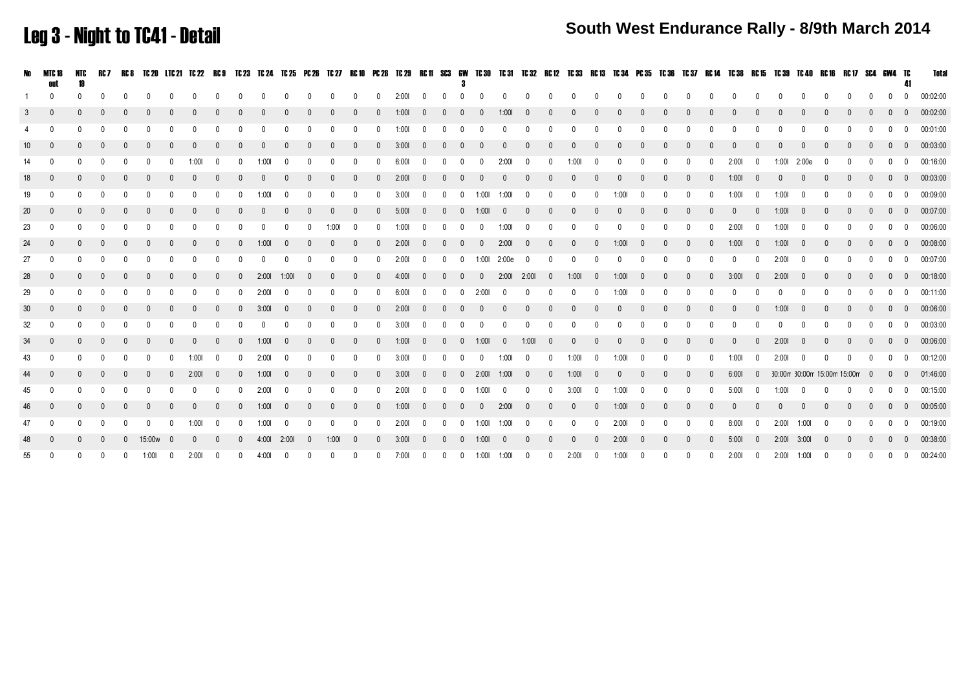### Leg 3 - Night to TC41 - Detail

|                 | No MTC 18               | NTC          |          |          | RC7 RC8 TC20 LTC21 TC22 RC9 TC23 TC24 TC25 PC26 TC27 RC10 PC28 TC29 RC11 SC3 GW TC30 TC31 TC32 RC12 TC33 RC13 TC34 PC35 TC36 TC37 RC14 TC38 RC15 TC39 TC40 RC16 RC17 SC4 GW4 TC |              |          |                |              |       |           |                |              |                |                |           |                          |                |                |                   |                         |                |                |                |                |              |                |                |              |              |            |                |                             |                |          |  |              |                          | Tota                 |
|-----------------|-------------------------|--------------|----------|----------|---------------------------------------------------------------------------------------------------------------------------------------------------------------------------------|--------------|----------|----------------|--------------|-------|-----------|----------------|--------------|----------------|----------------|-----------|--------------------------|----------------|----------------|-------------------|-------------------------|----------------|----------------|----------------|----------------|--------------|----------------|----------------|--------------|--------------|------------|----------------|-----------------------------|----------------|----------|--|--------------|--------------------------|----------------------|
| $\overline{1}$  | $\overline{0}$          | $\Omega$     |          |          |                                                                                                                                                                                 |              |          |                |              |       |           | $\mathbf{0}$   |              | $\overline{0}$ | $\overline{0}$ | $2:001$ 0 |                          | $0 \quad 0$    |                |                   | $0 \qquad 0 \qquad 0$   |                | $\overline{0}$ | $\overline{0}$ |                |              |                |                |              |              |            |                |                             | $\mathbf{0}$   |          |  |              |                          | 0 0 00:02:00         |
| 3               |                         |              |          |          |                                                                                                                                                                                 |              |          |                |              |       |           |                |              |                |                | 1:001     |                          |                |                |                   | 1:001                   |                |                |                |                |              |                |                |              |              |            |                |                             |                |          |  |              | $\overline{0}$           | 00:02:00             |
| $\overline{4}$  |                         | $\Omega$     |          |          |                                                                                                                                                                                 |              |          |                |              |       |           | $\Omega$       |              | $\Omega$       | $\Omega$       | 1:001     | $\overline{0}$           |                | $\Omega$       | $\Omega$          | $\Omega$                |                |                | $\Omega$       |                | $\Omega$     |                |                | $\Omega$     |              |            |                |                             |                |          |  | $0 \quad 0$  |                          | 00:01:00             |
| 10              |                         |              |          |          |                                                                                                                                                                                 |              |          |                |              |       |           | $\Omega$       |              | $\mathbf{0}$   | $\Omega$       | 3:001     | $\overline{0}$           | $\overline{0}$ | - 0            |                   |                         |                |                |                |                |              |                |                |              |              |            |                |                             |                |          |  |              | $\overline{\mathbf{0}}$  | 00:03:00             |
| 14              | $\overline{0}$          | $\Omega$     | $\Omega$ | $\Omega$ | $\Omega$                                                                                                                                                                        | $\Omega$     | 1:001    | $\Omega$       | $\Omega$     | 1:001 | $\Omega$  | $\Omega$       | $\Omega$     | $\Omega$       | $\Omega$       | $6:00!$ 0 |                          | 0 0            |                | $\overline{0}$    | 2:001                   | $\overline{0}$ | $\Omega$       | $1:001$ 0      |                | $\mathbf{0}$ | $\Omega$       | $\Omega$       | $\Omega$     | $\Omega$     | 2:001      | $\overline{0}$ | 1:00l 2:00e                 |                | $\cap$   |  | $0 \quad 0$  |                          | 00:16:00             |
| 18              | $\overline{0}$          | $\mathbf{0}$ |          |          |                                                                                                                                                                                 |              |          |                |              |       |           | $\mathbf{0}$   | $\mathbf{0}$ | $\overline{0}$ | $\Omega$       | 2:001     | $\overline{0}$           | $0\quad 0$     |                | $\overline{0}$    | $\Omega$                |                |                | $\mathbf{0}$   |                |              |                |                | $\mathbf{0}$ | $\Omega$     | 1:001      | $\overline{0}$ |                             |                |          |  | $0\quad 0$   |                          | 00:03:00             |
| 19              | $\overline{0}$          | $\Omega$     | $\Omega$ |          |                                                                                                                                                                                 |              |          |                |              | 1:001 |           | $\Omega$       |              | $\Omega$       |                | 3:001     |                          |                |                | 1:001             | 1:001                   |                |                | $\Omega$       | $\Omega$       | 1:001        |                |                | $\Omega$     | $\cap$       | 1:00       |                | 1:001                       |                |          |  | $0 \quad 0$  |                          | 00:09:00             |
| 20              |                         | $\Omega$     |          |          |                                                                                                                                                                                 |              |          |                |              |       |           | $\Omega$       |              |                |                | 5:001     |                          |                |                | $0 \t 0 \t 1:001$ | $\Omega$                |                |                |                |                |              |                |                | $\mathbf{0}$ |              |            |                | 1:001                       |                |          |  | $0\quad 0$   |                          | 00:07:00             |
| 23              | $\overline{0}$          | $\Omega$     |          |          |                                                                                                                                                                                 |              |          |                |              |       |           |                | 1:001        |                |                | 1:00      |                          |                |                |                   | 1:00                    |                |                |                |                |              |                |                |              |              | 2:001      |                | 1:001                       |                |          |  |              | $\overline{0}$           | 00:06:00             |
| 24              | $\overline{0}$          | $\Omega$     |          |          |                                                                                                                                                                                 |              |          |                |              | 1:001 |           | $\mathbf{0}$   |              | $\overline{0}$ | $\Omega$       | 2:001     |                          | $0\quad 0$     |                | $\Omega$          | 2:00                    | - 0            |                |                |                | 1:001        |                | $\Omega$       | $\mathbf{0}$ | $\mathbf{0}$ | 1:001      | $\sqrt{0}$     | 1:001                       |                |          |  |              |                          | $0 \t 0 \t 00:08:00$ |
| 27              |                         |              |          |          |                                                                                                                                                                                 |              |          |                |              |       |           |                |              |                |                | 2:001     |                          |                |                | 1:001             | 2:00e                   |                |                |                |                |              |                |                |              |              |            |                | 2:001                       |                |          |  |              | $\overline{0}$           | 00:07:00             |
| 28              |                         | $\mathbf{0}$ |          |          |                                                                                                                                                                                 |              |          |                | $\mathbf{0}$ | 2:001 | 1:001     | $\overline{0}$ | $\mathbf{0}$ | $\mathbf{0}$   | $\mathbf{0}$   | 4:00      | $\overline{\phantom{0}}$ | $\Omega$       | $\overline{0}$ | $\mathbf{0}$      | 2:00  2:00              |                | $\overline{0}$ | 1:001          | $\overline{0}$ | 1:001        |                | $\overline{0}$ | $\mathbf{0}$ | $\mathbf{0}$ | 3:001      | $\overline{0}$ | 2:001                       | $\overline{0}$ |          |  | $\mathbf{0}$ | $\overline{0}$           | 00:18:00             |
| 29              |                         |              |          |          |                                                                                                                                                                                 |              |          |                |              | 2:001 |           |                |              |                |                | 6:00      |                          |                |                | 2:001             |                         |                |                |                |                | 1:00         |                |                |              |              |            |                |                             |                |          |  |              | $\overline{0}$           | 00:11:00             |
| 30 <sup>2</sup> | $\Omega$                | $\Omega$     |          |          |                                                                                                                                                                                 |              | $\Omega$ | $\Omega$       | $\Omega$     | 3:001 | $\Omega$  | $\Omega$       | $\Omega$     | $\mathbf{0}$   | $\Omega$       | 2:001     | $\overline{0}$           | $0 \quad 0$    |                | $\Omega$          | $\mathbf{0}$            | $\Omega$       | $\Omega$       | $\Omega$       | $\Omega$       | $\Omega$     | $\Omega$       | $\Omega$       | $\mathbf{0}$ |              |            |                | 1:001                       | $\Omega$       |          |  | $\Omega$     | $\overline{0}$           | 00:06:00             |
| 32              | $\overline{0}$          | $\Omega$     |          | $\Omega$ |                                                                                                                                                                                 |              |          |                |              |       |           | $\Omega$       | $\Omega$     | $\Omega$       | $\Omega$       | $3:001$ 0 |                          | $\Omega$       | $\overline{0}$ | $\Omega$          | $\Omega$                |                |                | $\Omega$       | $\Omega$       | $\Omega$     |                |                |              |              |            |                |                             |                |          |  |              |                          | $0 \t 0 \t 00:03:00$ |
| 34              | $\overline{0}$          | $\Omega$     | $\Omega$ | $\Omega$ | $\Omega$                                                                                                                                                                        |              | $\Omega$ | $\Omega$       | $\Omega$     | 1:001 | $\bigcap$ | $\mathbf{0}$   | $\mathbf{0}$ | $\overline{0}$ | $\Omega$       | 1:00I 0   |                          |                |                | $0 \t 0 \t 1:001$ | $\overline{\mathbf{0}}$ | 1:001          | $\overline{0}$ | $\overline{0}$ | $\overline{0}$ | $\Omega$     | $\Omega$       | $\Omega$       | $\mathbf{0}$ | $\Omega$     | $\sqrt{ }$ | $\cap$         | 2:001                       | $\cap$         | $\Omega$ |  |              |                          | $0 \t 0 \t 00:06:00$ |
| 43              | $\overline{\mathbf{0}}$ | $\Omega$     | $\Omega$ | $\Omega$ |                                                                                                                                                                                 | $\mathbf{0}$ | 1:00     | $\overline{0}$ | $\Omega$     | 2:001 | $\Omega$  | $\mathbf{0}$   | $\mathbf{0}$ | $\mathbf{0}$   | $\Omega$       | $3:001$ 0 |                          | $0\qquad 0$    |                | $\overline{0}$    | 1:001                   | $\overline{0}$ | $\mathbf{0}$   | $1:001$ 0      |                | 1:001        | $\overline{0}$ | $\Omega$       | $\mathbf{0}$ | $\Omega$     | 1:001      | $\overline{0}$ | 2:00                        | $\overline{0}$ | $\Omega$ |  |              |                          | $0 \t 0 \t 00:12:00$ |
| 44              |                         |              |          |          |                                                                                                                                                                                 |              | 2:001    |                |              | 1:001 |           |                |              |                |                | 3:001     |                          | $\mathbf{0}$   |                | $0$ 2:001         | 1:001                   | $\overline{0}$ | $\mathbf{0}$   | 1:001          |                |              |                |                | $\mathbf{0}$ |              | 6:001      | $\overline{0}$ | 30:00m 30:00m 15:00m 15:00m |                |          |  | $0\quad 0$   |                          | 01:46:00             |
| 45              | $\overline{0}$          | $\Omega$     |          |          |                                                                                                                                                                                 |              |          |                |              | 2:001 |           | $\Omega$       | $\Omega$     | $\Omega$       | $\Omega$       | 2:00      |                          |                | $\overline{0}$ | 1:001             | $\overline{0}$          | $\Omega$       | $\Omega$       | 3:001          | $\overline{0}$ | 1:001        |                | $\Omega$       | $\mathbf{0}$ | $\Omega$     | 5:00       |                | 1:001                       |                |          |  | $0\quad 0$   |                          | 00:15:00             |
| 46              |                         |              |          |          |                                                                                                                                                                                 |              |          |                |              | 1:001 |           |                |              |                |                | 1:00      |                          |                |                |                   | 2:001                   |                |                |                |                | 1:00         |                |                |              |              |            |                |                             |                |          |  |              | $\overline{0}$           | 00:05:00             |
| 47              | $\overline{0}$          | $\Omega$     |          |          |                                                                                                                                                                                 |              | 1:00     | $\Omega$       |              | 1:001 |           | $\Omega$       | $\Omega$     | $\Omega$       | $\Omega$       | 2:001     | $\overline{0}$           |                |                | 1:001             | 1:00                    | $\sqrt{ }$     | $\Omega$       | $\mathbf{0}$   | $\Omega$       | 2:00         |                | $\Omega$       | $\mathbf{0}$ | $\Omega$     | 8:001      | $\Omega$       | 2:001                       | 1:001          |          |  |              | $\overline{0}$           | 00:19:00             |
| 48              |                         |              |          |          | 0 15:00 <sub>W</sub>                                                                                                                                                            |              | $\Omega$ |                |              | 4:001 | 2:001     | $\overline{0}$ | 1:001        |                |                | 3:001     |                          |                |                | 1:001             |                         |                |                |                |                | 2:001        |                |                |              |              | 5:00       |                | 2:001                       | 3:001          |          |  |              | $\overline{\phantom{0}}$ | 00:38:00             |
| 55              | $\Omega$                | $\Omega$     | $\Omega$ | $\Omega$ | 1:001                                                                                                                                                                           | $\Omega$     | 2:001    | $\Omega$       | $\Omega$     | 4:001 |           | $\Omega$       |              | $\Omega$       | $\Omega$       | 7:00      | $\overline{0}$           | $\Omega$       | $\Omega$       | 1:001             | 1:00                    | $\overline{0}$ | $\Omega$       | 2:001          | $\overline{0}$ | 1:001        | $\Omega$       | $\Omega$       | $\Omega$     | $\Omega$     | 2:001      | $\Omega$       | 2:00  1:00                  |                | $\Omega$ |  | $0\quad 0$   |                          | 00:24:00             |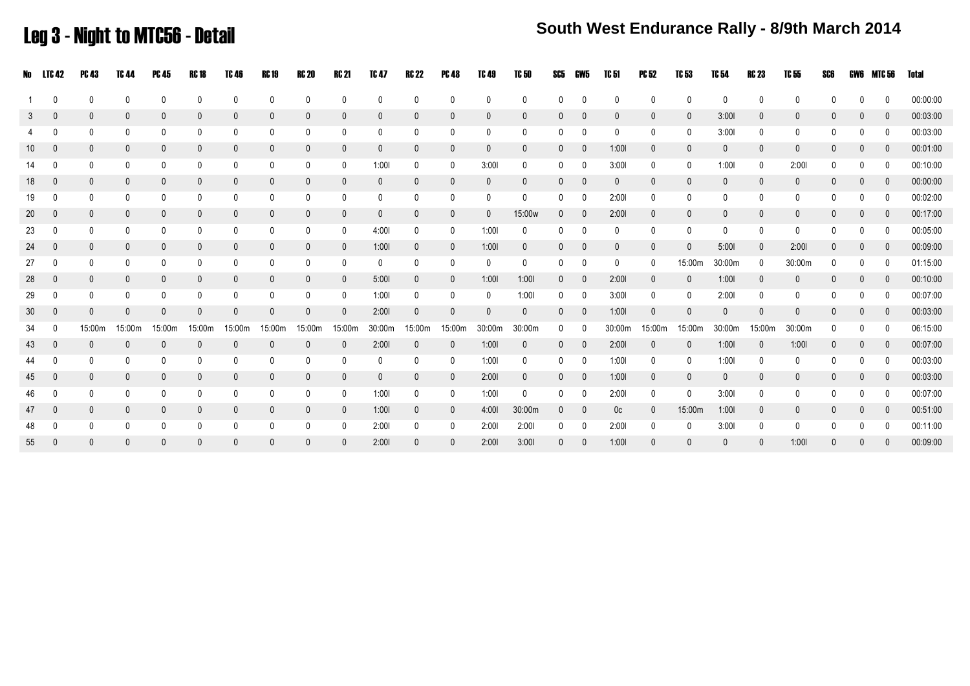### Leg 3 - Night to MTC56 - Detail

### **South West Endurance Rally - 8/9th March 2014**

| No              | LTC 42       | <b>PC 43</b> | TC 44        | PC 45        | RC 18        | TC 46        | <b>RC 19</b> | RC 20        | <b>RC 21</b> | TC 47        | RC 22        | <b>PC 48</b> | <b>TC 49</b> | <b>TC 50</b> | SC5          | GW5          | TC 51          | PC 52        | TC 53        | TC 54        | <b>RC 23</b> | TC 55        | SCG          | GWG          | MTC 56 | Total    |
|-----------------|--------------|--------------|--------------|--------------|--------------|--------------|--------------|--------------|--------------|--------------|--------------|--------------|--------------|--------------|--------------|--------------|----------------|--------------|--------------|--------------|--------------|--------------|--------------|--------------|--------|----------|
|                 | $\Omega$     |              | $\Omega$     | 0            | 0            | 0            | 0            | 0            | $\mathbf 0$  | $\mathbf{0}$ | $\mathbf{0}$ | 0            | $\Omega$     | 0            | $\mathbf{0}$ | 0            | $\mathbf{0}$   | $\Omega$     | 0            | 0            | $\Omega$     | $\mathbf{0}$ |              |              |        | 00:00:00 |
| 3               | $\mathbf{0}$ |              | $\mathbf{0}$ | $\mathbf{0}$ | $\mathbf 0$  | $\mathbf{0}$ | $\mathbf 0$  | $\mathbf 0$  | $\mathbf 0$  | $\mathbf 0$  | $\mathbf 0$  | $\mathbf{0}$ | 0            | $\mathbf{0}$ | $\mathbf{0}$ | 0            | $\mathbf 0$    | $\mathbf{0}$ | 0            | 3:001        | $\mathbf{0}$ | $\mathbf{0}$ | $\Omega$     |              |        | 00:03:00 |
|                 | $\Omega$     | 0            | 0            | 0            | 0            | 0            | 0            | 0            | 0            | $\mathbf 0$  | 0            | 0            | 0            | 0            | 0            | 0            | 0              | 0            | 0            | 3:001        | 0            | 0            | 0            | 0            |        | 00:03:00 |
| 10              | $\theta$     | 0            | $\mathbf{0}$ | $\mathbf 0$  | $\mathbf 0$  | $\mathbf 0$  | $\mathbf 0$  | $\mathbf 0$  | $\mathbf 0$  | $\mathbf 0$  | $\mathbf 0$  | $\mathbf{0}$ | $\mathbf{0}$ | $\mathbf{0}$ | $\mathbf 0$  | 0            | 1:001          | $\mathbf{0}$ | 0            | $\mathbf{0}$ | $\mathbf{0}$ | $\mathbf 0$  | 0            | $\mathbf{0}$ |        | 00:01:00 |
| 14              | $\mathbf{0}$ | 0            | $\mathbf{0}$ | $\mathbf 0$  | $\mathbf 0$  | 0            | 0            | 0            | 0            | 1:001        | 0            | 0            | 3:001        | 0            | 0            | 0            | 3:001          | 0            | 0            | 1:001        | 0            | 2:001        | $\mathbf{0}$ | 0            |        | 00:10:00 |
| 18              | $\mathbf{0}$ |              |              | $\mathbf{0}$ | $\mathbf 0$  | $\mathbf{0}$ | 0            | $\mathbf{0}$ | $\mathbf{0}$ | $\mathbf{0}$ | $\mathbf{0}$ | 0            | 0            | $\mathbf{0}$ | $\mathbf{0}$ | $\mathbf{0}$ | $\mathbf{0}$   | $\mathbf{0}$ | 0            | 0            | $\mathbf{0}$ | 0            |              | 0            |        | 00:00:00 |
| 19              | $\Omega$     |              | 0            | $\mathbf{0}$ | 0            | 0            | 0            | 0            | 0            | $\mathbf 0$  | 0            | 0            | $\mathbf 0$  | $\Omega$     | $\mathbf{0}$ | 0            | 2:001          | $\Omega$     | 0            | 0            | $\mathbf{0}$ | 0            |              |              |        | 00:02:00 |
| 20              | $\mathbf{0}$ |              |              | $\mathbf{0}$ | $\mathbf 0$  | $\mathbf 0$  | $\mathbf 0$  | $\pmb{0}$    | $\mathbf 0$  | $\mathbf 0$  | $\mathbf 0$  | 0            | $\mathbf{0}$ | 15:00w       | $\mathbf{0}$ | 0            | 2:001          | $\mathbf{0}$ | 0            | 0            | $\mathbf{0}$ | $\mathbf 0$  |              |              |        | 00:17:00 |
| 23              | $\mathbf{0}$ |              | 0            | $\mathbf{0}$ | 0            | 0            | 0            | 0            | 0            | 4:00         | 0            | 0            | 1:001        | 0            | $\mathbf{0}$ | 0            | 0              | $\mathbf{0}$ | 0            | 0            | $\mathbf{0}$ | 0            | 0            | 0            |        | 00:05:00 |
| 24              | $\mathbf{0}$ | 0            | $\mathbf{0}$ | $\mathbf 0$  | $\mathbf 0$  | $\mathbf 0$  | $\mathbf 0$  | $\mathbf 0$  | $\mathbf 0$  | 1:001        | $\mathbf 0$  | 0            | 1:001        | $\mathbf 0$  | 0            | 0            | $\mathbf{0}$   | $\mathbf{0}$ | $\mathbf{0}$ | 5:00         | $\mathbf 0$  | 2:001        | $\Omega$     | 0            |        | 00:09:00 |
| 27              | $\Omega$     | 0            | $\Omega$     | $\mathbf 0$  | $\mathbf 0$  | 0            | 0            | 0            | 0            | $\mathbf 0$  | 0            | 0            | 0            | $\mathbf 0$  | $\mathbf{0}$ | 0            | 0              | 0            | 15:00m       | 30:00m       | $\mathbf{0}$ | 30:00m       | $\mathbf{0}$ | 0            |        | 01:15:00 |
| 28              | $\mathbf{0}$ |              |              | $\mathbf{0}$ | $\mathbf{0}$ | $\mathbf{0}$ | 0            | $\mathbf 0$  | $\mathbf 0$  | 5:001        | $\mathbf 0$  | $\mathbf{0}$ | 1:001        | 1:001        | 0            | 0            | 2:001          | $\mathbf{0}$ | 0            | 1:001        | $\mathbf{0}$ | $\mathbf{0}$ |              | 0            |        | 00:10:00 |
| 29              | $\Omega$     | 0            | 0            | $\mathbf{0}$ | 0            | 0            | 0            | 0            | 0            | 1:001        | 0            | 0            | 0            | 1:001        | 0            | 0            | 3:001          | 0            | 0            | 2:00         | $\mathbf{0}$ | 0            |              |              |        | 00:07:00 |
| 30 <sup>°</sup> | $\Omega$     | 0            | $\mathbf{0}$ | $\mathbf{0}$ | $\mathbf 0$  | $\mathbf 0$  | $\mathbf 0$  | $\mathbf 0$  | $\mathbf 0$  | 2:001        | $\mathbf 0$  | 0            | $\mathbf{0}$ | $\mathbf{0}$ | $\mathbf{0}$ | 0            | 1:001          | $\mathbf{0}$ | 0            | $\mathbf{0}$ | $\Omega$     | $\mathbf{0}$ |              | 0            |        | 00:03:00 |
| 34              | $\mathbf{0}$ | 15:00m       | 15:00m       | 15:00m       | 15:00m       | 15:00m       | 15:00m       | 15:00m       | 15:00m       | 30:00m       | 15:00m       | 15:00m       | 30:00m       | 30:00m       | 0            | 0            | 30:00m         | 15:00m       | 15:00m       | 30:00m       | 15:00m       | 30:00m       |              |              |        | 06:15:00 |
| 43              | $\mathbf{0}$ | 0            | $\mathbf{0}$ | $\mathbf{0}$ | $\mathbf{0}$ | $\mathbf{0}$ | $\mathbf 0$  | $\mathbf 0$  | $\mathbf 0$  | 2:001        | $\mathbf{0}$ | $\mathbf{0}$ | 1:001        | $\mathbf{0}$ | $\mathbf 0$  | 0            | 2:001          | $\mathbf{0}$ | $\mathbf{0}$ | 1:001        | $\mathbf{0}$ | 1:001        | $\mathbf{0}$ | $\mathbf{0}$ |        | 00:07:00 |
| 44              | $\mathbf{0}$ | 0            | $\mathbf{0}$ | $\mathbf 0$  | 0            | 0            | 0            | 0            | 0            | $\mathbf 0$  | 0            | 0            | 1:001        | 0            | 0            | $\mathbf{0}$ | 1:001          | 0            | 0            | 1:001        | 0            | 0            | 0            | $\mathbf{0}$ |        | 00:03:00 |
| 45              | $\mathbf{0}$ | 0            |              | $\mathbf{0}$ | $\mathbf{0}$ | $\mathbf{0}$ | $\mathbf 0$  | $\mathbf 0$  | $\mathbf{0}$ | $\mathbf{0}$ | $\mathbf 0$  | $\mathbf{0}$ | 2:001        | $\mathbf{0}$ | $\mathbf 0$  | 0            | 1:001          | $\mathbf{0}$ | 0            | $\mathbf{0}$ | $\mathbf{0}$ | $\mathbf 0$  | $\Omega$     | 0            |        | 00:03:00 |
| 46              | $\mathbf{0}$ | 0            | $\mathbf{0}$ | 0            | 0            | 0            | 0            | 0            | 0            | 1:001        | 0            | 0            | 1:001        | 0            | 0            | 0            | 2:001          | $\mathbf{0}$ | 0            | 3:001        | 0            | 0            |              |              |        | 00:07:00 |
| 47              | $\mathbf{0}$ |              | $\mathbf{0}$ | $\mathbf{0}$ | $\mathbf 0$  | $\mathbf{0}$ | $\mathbf{0}$ | $\mathbf{0}$ | $\mathbf{0}$ | 1:001        | $\mathbf{0}$ | $\mathbf{0}$ | 4:001        | 30:00m       | $\mathbf{0}$ | $\mathbf{0}$ | 0 <sup>c</sup> | $\mathbf{0}$ | 15:00m       | 1:001        | $\mathbf{0}$ | 0            |              | 0            |        | 00:51:00 |
| 48              | $\mathbf{0}$ |              |              |              | $\mathbf{0}$ | 0            | 0            | 0            | 0            | 2:001        | 0            | 0            | 2:001        | 2:001        | $\mathbf{0}$ | 0            | 2:001          | $\mathbf{0}$ | 0            | 3:001        | $\mathbf{0}$ | 0            |              |              |        | 00:11:00 |
| 55              | $\mathbf{0}$ |              |              | $\Omega$     | $\Omega$     | $\mathbf{0}$ | $\mathbf{0}$ | $\mathbf{0}$ | $\mathbf{0}$ | 2:001        | $\mathbf{0}$ |              | 2:001        | 3:001        |              | $\Omega$     | 1:001          |              |              |              |              | 1:00         |              |              |        | 00:09:00 |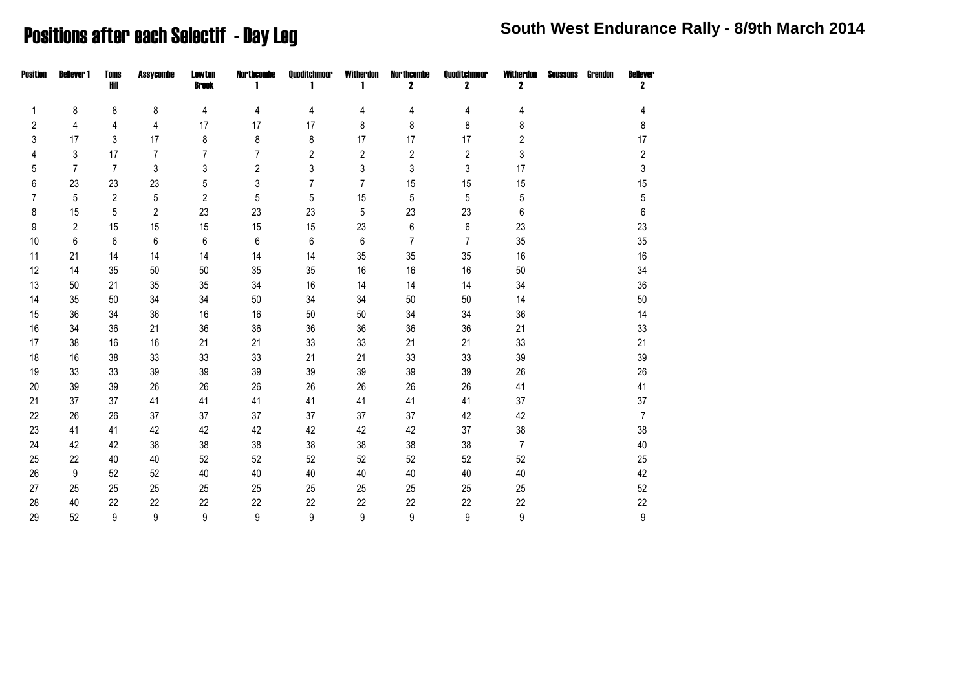### **Positions after each Selectif - Day Leg South West Endurance Rally - 8/9th March 2014**

| <b>Position</b> | <b>Bellever 1</b> | Toms<br>Hill   | <b>Assycombe</b> | <b>Lowton</b><br><b>Brook</b> | <b>Northcombe</b><br>1 | Quoditchmoor   | Witherdon<br>-1 | <b>Northcombe</b><br>2 | Quoditchmoor<br>$\mathbf 2$ | Witherdon<br>2 | <b>Soussons</b> | Grendon | <b>Bellever</b><br>2 |
|-----------------|-------------------|----------------|------------------|-------------------------------|------------------------|----------------|-----------------|------------------------|-----------------------------|----------------|-----------------|---------|----------------------|
| 1               | 8                 | 8              | 8                | 4                             | 4                      | 4              | 4               | 4                      | 4                           | 4              |                 |         | 4                    |
| 2               | 4                 | 4              | 4                | 17                            | 17                     | 17             | 8               | 8                      | 8                           | 8              |                 |         | 8                    |
| 3               | 17                | 3              | 17               | 8                             | 8                      | 8              | 17              | 17                     | 17                          | $\overline{2}$ |                 |         | 17                   |
| 4               | 3                 | 17             | $\overline{7}$   | $\overline{7}$                | $\overline{7}$         | $\overline{c}$ | $\overline{c}$  | $\overline{2}$         | $\boldsymbol{2}$            | 3              |                 |         | $\sqrt{2}$           |
| 5               | 7                 | $\overline{7}$ | 3                | 3                             | $\overline{2}$         | 3              | 3               | 3                      | 3                           | 17             |                 |         | $\mathbf{3}$         |
| 6               | 23                | 23             | 23               | $5\,$                         | 3                      | $\overline{7}$ | $\overline{7}$  | 15                     | 15                          | 15             |                 |         | 15                   |
| 7               | 5                 | $\overline{c}$ | 5                | $\mathbf{2}$                  | 5                      | 5              | 15              | 5                      | $\mathbf 5$                 | $\mathbf 5$    |                 |         | $\mathbf 5$          |
| 8               | 15                | 5              | $\overline{2}$   | 23                            | 23                     | 23             | $5\,$           | 23                     | 23                          | 6              |                 |         | 6                    |
| 9               | $\overline{2}$    | 15             | 15               | 15                            | 15                     | 15             | 23              | 6                      | $\,6\,$                     | 23             |                 |         | 23                   |
| 10              | 6                 | 6              | 6                | 6                             | 6                      | $\,6\,$        | 6               | $\overline{7}$         | 7                           | 35             |                 |         | 35                   |
| 11              | 21                | 14             | 14               | 14                            | 14                     | 14             | 35              | 35                     | 35                          | 16             |                 |         | 16                   |
| 12              | 14                | 35             | 50               | 50                            | 35                     | 35             | 16              | 16                     | 16                          | 50             |                 |         | 34                   |
| 13              | 50                | 21             | 35               | 35                            | 34                     | 16             | 14              | 14                     | 14                          | 34             |                 |         | 36                   |
| 14              | 35                | 50             | 34               | 34                            | 50                     | 34             | 34              | 50                     | $50\,$                      | 14             |                 |         | 50                   |
| 15              | 36                | 34             | 36               | 16                            | 16                     | 50             | 50              | 34                     | 34                          | 36             |                 |         | 14                   |
| 16              | 34                | 36             | 21               | 36                            | 36                     | 36             | 36              | 36                     | 36                          | 21             |                 |         | 33                   |
| 17              | 38                | 16             | 16               | 21                            | 21                     | 33             | 33              | 21                     | 21                          | 33             |                 |         | 21                   |
| 18              | 16                | 38             | 33               | 33                            | 33                     | 21             | 21              | 33                     | 33                          | 39             |                 |         | 39                   |
| 19              | 33                | 33             | 39               | 39                            | 39                     | 39             | 39              | 39                     | 39                          | 26             |                 |         | 26                   |
| 20              | 39                | 39             | 26               | 26                            | 26                     | 26             | 26              | 26                     | 26                          | 41             |                 |         | 41                   |
| 21              | 37                | 37             | 41               | 41                            | 41                     | 41             | 41              | 41                     | 41                          | 37             |                 |         | 37                   |
| 22              | 26                | 26             | 37               | 37                            | 37                     | 37             | 37              | 37                     | 42                          | 42             |                 |         | $\overline{7}$       |
| 23              | 41                | 41             | 42               | 42                            | 42                     | 42             | 42              | 42                     | 37                          | 38             |                 |         | 38                   |
| 24              | 42                | 42             | 38               | 38                            | 38                     | 38             | 38              | 38                     | 38                          | $\overline{7}$ |                 |         | 40                   |
| 25              | 22                | 40             | 40               | 52                            | 52                     | 52             | 52              | 52                     | 52                          | 52             |                 |         | 25                   |
| 26              | 9                 | 52             | 52               | 40                            | 40                     | 40             | 40              | 40                     | 40                          | 40             |                 |         | 42                   |
| 27              | 25                | 25             | 25               | 25                            | 25                     | 25             | 25              | 25                     | 25                          | 25             |                 |         | 52                   |
| 28              | 40                | 22             | 22               | 22                            | 22                     | 22             | 22              | 22                     | 22                          | 22             |                 |         | 22                   |
| 29              | 52                | 9              | 9                | 9                             | 9                      | 9              | 9               | 9                      | 9                           | 9              |                 |         | 9                    |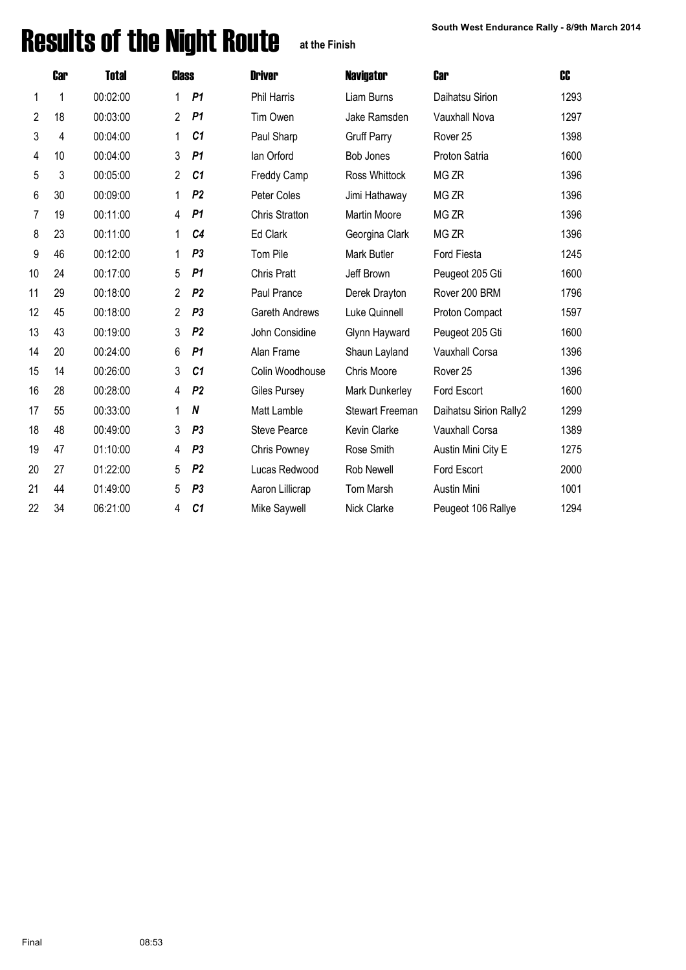# Results of the Night Route at the Finish South West Endurance Rally - 8/9th March 2014

**at the Finish**

|    | <b>Car</b> | <b>Total</b> | <b>Class</b>   |                  | <b>Driver</b>         | <b>Navigator</b>       | <b>Car</b>             | CC   |
|----|------------|--------------|----------------|------------------|-----------------------|------------------------|------------------------|------|
| 1  | 1          | 00:02:00     |                | P <sub>1</sub>   | <b>Phil Harris</b>    | Liam Burns             | Daihatsu Sirion        | 1293 |
| 2  | 18         | 00:03:00     | $\overline{2}$ | P <sub>1</sub>   | Tim Owen              | Jake Ramsden           | Vauxhall Nova          | 1297 |
| 3  | 4          | 00:04:00     | 1              | C <sub>1</sub>   | Paul Sharp            | <b>Gruff Parry</b>     | Rover <sub>25</sub>    | 1398 |
| 4  | 10         | 00:04:00     | 3              | P1               | lan Orford            | Bob Jones              | Proton Satria          | 1600 |
| 5  | 3          | 00:05:00     | $\overline{2}$ | C <sub>1</sub>   | <b>Freddy Camp</b>    | Ross Whittock          | MG ZR                  | 1396 |
| 6  | 30         | 00:09:00     | 1              | P <sub>2</sub>   | Peter Coles           | Jimi Hathaway          | MG ZR                  | 1396 |
| 7  | 19         | 00:11:00     | 4              | P <sub>1</sub>   | <b>Chris Stratton</b> | <b>Martin Moore</b>    | MG ZR                  | 1396 |
| 8  | 23         | 00:11:00     | 1              | C <sub>4</sub>   | Ed Clark              | Georgina Clark         | MG ZR                  | 1396 |
| 9  | 46         | 00:12:00     | 1              | P <sub>3</sub>   | Tom Pile              | Mark Butler            | Ford Fiesta            | 1245 |
| 10 | 24         | 00:17:00     | 5              | P1               | <b>Chris Pratt</b>    | Jeff Brown             | Peugeot 205 Gti        | 1600 |
| 11 | 29         | 00:18:00     | $\overline{2}$ | P <sub>2</sub>   | Paul Prance           | Derek Drayton          | Rover 200 BRM          | 1796 |
| 12 | 45         | 00:18:00     | $\overline{2}$ | P <sub>3</sub>   | Gareth Andrews        | Luke Quinnell          | Proton Compact         | 1597 |
| 13 | 43         | 00:19:00     | 3              | P <sub>2</sub>   | John Considine        | Glynn Hayward          | Peugeot 205 Gti        | 1600 |
| 14 | 20         | 00:24:00     | 6              | P <sub>1</sub>   | Alan Frame            | Shaun Layland          | Vauxhall Corsa         | 1396 |
| 15 | 14         | 00:26:00     | 3              | C <sub>1</sub>   | Colin Woodhouse       | Chris Moore            | Rover <sub>25</sub>    | 1396 |
| 16 | 28         | 00:28:00     | 4              | P <sub>2</sub>   | Giles Pursey          | Mark Dunkerley         | Ford Escort            | 1600 |
| 17 | 55         | 00:33:00     | 1              | $\boldsymbol{N}$ | Matt Lamble           | <b>Stewart Freeman</b> | Daihatsu Sirion Rally2 | 1299 |
| 18 | 48         | 00:49:00     | 3              | P <sub>3</sub>   | <b>Steve Pearce</b>   | Kevin Clarke           | Vauxhall Corsa         | 1389 |
| 19 | 47         | 01:10:00     | 4              | P <sub>3</sub>   | Chris Powney          | Rose Smith             | Austin Mini City E     | 1275 |
| 20 | 27         | 01:22:00     | 5              | P <sub>2</sub>   | Lucas Redwood         | Rob Newell             | Ford Escort            | 2000 |
| 21 | 44         | 01:49:00     | 5              | P <sub>3</sub>   | Aaron Lillicrap       | <b>Tom Marsh</b>       | Austin Mini            | 1001 |
| 22 | 34         | 06:21:00     | 4              | C <sub>1</sub>   | Mike Saywell          | Nick Clarke            | Peugeot 106 Rallye     | 1294 |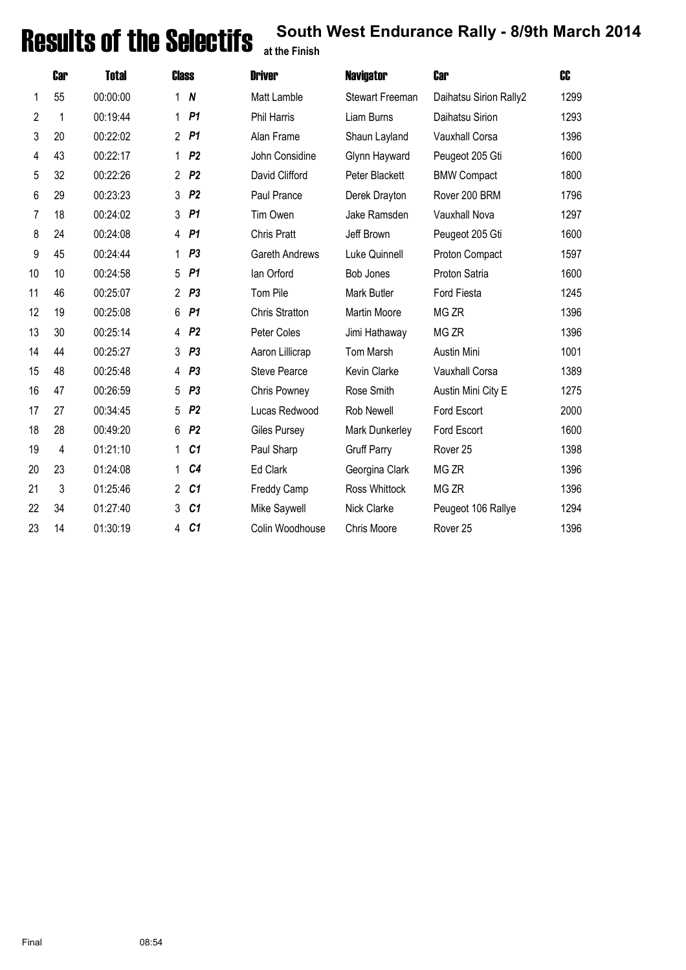## **Results of the Selectifs** south West Endurance Rally - 8/9th March 2014

|    | <b>Car</b> | <b>Total</b> | <b>Class</b>   |                  | <b>Driver</b>         | <b>Navigator</b>       | <b>Car</b>             | C <sub>C</sub> |
|----|------------|--------------|----------------|------------------|-----------------------|------------------------|------------------------|----------------|
| 1  | 55         | 00:00:00     | 1              | $\boldsymbol{N}$ | Matt Lamble           | <b>Stewart Freeman</b> | Daihatsu Sirion Rally2 | 1299           |
| 2  | 1          | 00:19:44     | 1              | P <sub>1</sub>   | <b>Phil Harris</b>    | Liam Burns             | Daihatsu Sirion        | 1293           |
| 3  | 20         | 00:22:02     |                | 2 P1             | Alan Frame            | Shaun Layland          | Vauxhall Corsa         | 1396           |
| 4  | 43         | 00:22:17     | 1              | P <sub>2</sub>   | John Considine        | Glynn Hayward          | Peugeot 205 Gti        | 1600           |
| 5  | 32         | 00:22:26     | $\overline{2}$ | P <sub>2</sub>   | David Clifford        | Peter Blackett         | <b>BMW Compact</b>     | 1800           |
| 6  | 29         | 00:23:23     | 3              | P <sub>2</sub>   | Paul Prance           | Derek Drayton          | Rover 200 BRM          | 1796           |
| 7  | 18         | 00:24:02     | 3              | P <sub>1</sub>   | Tim Owen              | Jake Ramsden           | Vauxhall Nova          | 1297           |
| 8  | 24         | 00:24:08     | 4              | P1               | <b>Chris Pratt</b>    | Jeff Brown             | Peugeot 205 Gti        | 1600           |
| 9  | 45         | 00:24:44     | 1              | P <sub>3</sub>   | <b>Gareth Andrews</b> | Luke Quinnell          | Proton Compact         | 1597           |
| 10 | 10         | 00:24:58     | 5              | P1               | lan Orford            | <b>Bob Jones</b>       | Proton Satria          | 1600           |
| 11 | 46         | 00:25:07     | $\overline{2}$ | P <sub>3</sub>   | Tom Pile              | Mark Butler            | Ford Fiesta            | 1245           |
| 12 | 19         | 00:25:08     | 6              | P <sub>1</sub>   | <b>Chris Stratton</b> | <b>Martin Moore</b>    | MG ZR                  | 1396           |
| 13 | 30         | 00:25:14     | 4              | P <sub>2</sub>   | Peter Coles           | Jimi Hathaway          | MG ZR                  | 1396           |
| 14 | 44         | 00:25:27     | 3              | P <sub>3</sub>   | Aaron Lillicrap       | Tom Marsh              | Austin Mini            | 1001           |
| 15 | 48         | 00:25:48     | 4              | P <sub>3</sub>   | <b>Steve Pearce</b>   | Kevin Clarke           | Vauxhall Corsa         | 1389           |
| 16 | 47         | 00:26:59     | 5              | P <sub>3</sub>   | Chris Powney          | Rose Smith             | Austin Mini City E     | 1275           |
| 17 | 27         | 00:34:45     | 5              | P <sub>2</sub>   | Lucas Redwood         | Rob Newell             | Ford Escort            | 2000           |
| 18 | 28         | 00:49:20     | 6              | P <sub>2</sub>   | Giles Pursey          | Mark Dunkerley         | Ford Escort            | 1600           |
| 19 | 4          | 01:21:10     | 1              | C <sub>1</sub>   | Paul Sharp            | <b>Gruff Parry</b>     | Rover <sub>25</sub>    | 1398           |
| 20 | 23         | 01:24:08     | 1              | C <sub>4</sub>   | Ed Clark              | Georgina Clark         | MG ZR                  | 1396           |
| 21 | 3          | 01:25:46     | $\overline{2}$ | C <sub>1</sub>   | Freddy Camp           | Ross Whittock          | MG ZR                  | 1396           |
| 22 | 34         | 01:27:40     | 3              | C <sub>1</sub>   | Mike Saywell          | Nick Clarke            | Peugeot 106 Rallye     | 1294           |
| 23 | 14         | 01:30:19     | 4              | C <sub>1</sub>   | Colin Woodhouse       | Chris Moore            | Rover <sub>25</sub>    | 1396           |